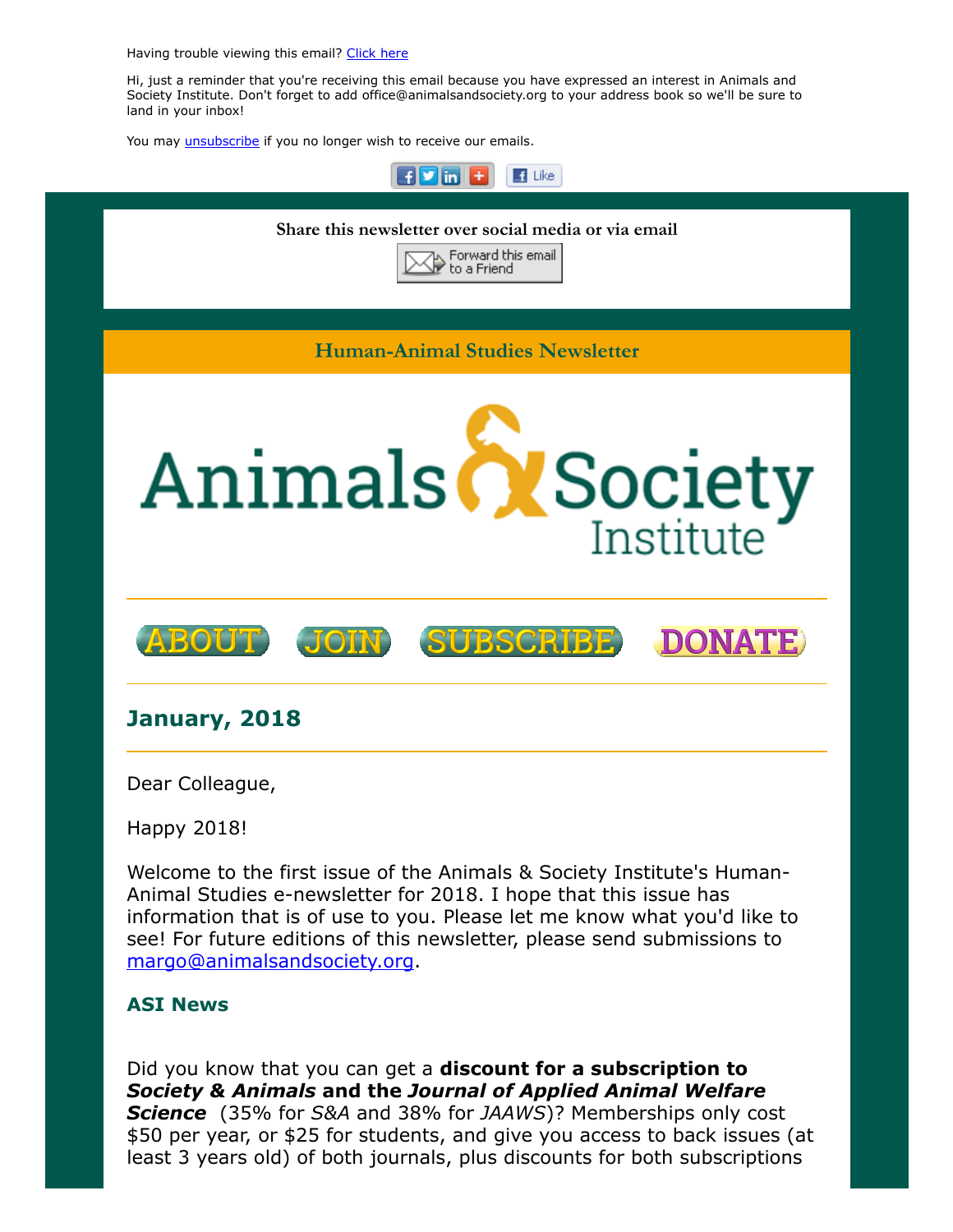Having trouble viewing this email? [Click](http://campaign.r20.constantcontact.com/render?ca=bb603730-8da1-4f0b-8807-485f08fdc9a2&preview=true&m=1117082078075&id=preview) here

Hi, just a reminder that you're receiving this email because you have expressed an interest in Animals and Society Institute. Don't forget to add office@animalsandsociety.org to your address book so we'll be sure to land in your inbox!

You may *[unsubscribe](https://visitor.constantcontact.com/do?p=un&mse=0016u8cGCOk4ijLe6EYFlbq8UmlFeKV0nFU&t=001Fbx3s_qQk3AGczJl7dvouA%3D%3D&id=001b-xBWU3VMkcM8dYr8taaWXSJRe02Iknl&llr=88spulqab)* if you no longer wish to receive our emails.



#### ASI News

Did you know that you can get a **discount for a subscription to** Society & Animals and the Journal of Applied Animal Welfare **Science** (35% for S&A and 38% for JAAWS)? Memberships only cost \$50 per year, or \$25 for students, and give you access to back issues (at least 3 years old) of both journals, plus discounts for both subscriptions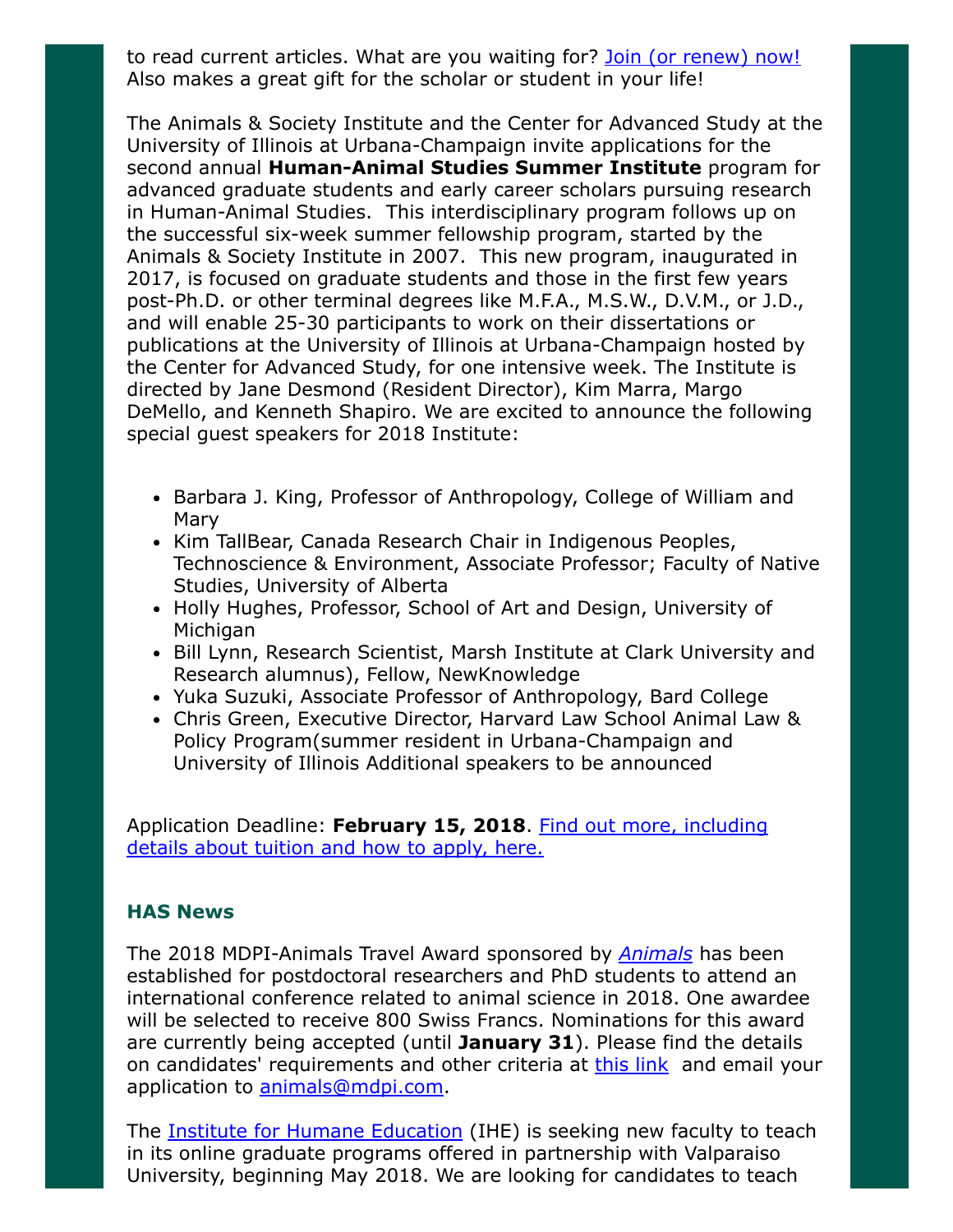to read current articles. What are you waiting for? [Join \(or renew\) now!](https://www.animalsandsociety.org/join-us/) Also makes a great gift for the scholar or student in your life!

The Animals & Society Institute and the Center for Advanced Study at the University of Illinois at Urbana-Champaign invite applications for the second annual **Human-Animal Studies Summer Institute** program for advanced graduate students and early career scholars pursuing research in Human-Animal Studies. This interdisciplinary program follows up on the successful six-week summer fellowship program, started by the Animals & Society Institute in 2007. This new program, inaugurated in 2017, is focused on graduate students and those in the first few years post-Ph.D. or other terminal degrees like M.F.A., M.S.W., D.V.M., or J.D., and will enable 25-30 participants to work on their dissertations or publications at the University of Illinois at Urbana-Champaign hosted by the Center for Advanced Study, for one intensive week. The Institute is directed by Jane Desmond (Resident Director), Kim Marra, Margo DeMello, and Kenneth Shapiro. We are excited to announce the following special guest speakers for 2018 Institute:

- Barbara J. King, Professor of Anthropology, College of William and Mary
- Kim TallBear, Canada Research Chair in Indigenous Peoples, Technoscience & Environment, Associate Professor; Faculty of Native Studies, University of Alberta
- Holly Hughes, Professor, School of Art and Design, University of Michigan
- Bill Lynn, Research Scientist, Marsh Institute at Clark University and Research alumnus), Fellow, NewKnowledge
- Yuka Suzuki, Associate Professor of Anthropology, Bard College
- Chris Green, Executive Director, Harvard Law School Animal Law & Policy Program(summer resident in Urbana-Champaign and University of Illinois Additional speakers to be announced

Application Deadline: February 15, 2018. Find out more, including [details about tuition and how to apply, here.](https://www.animalsandsociety.org/call-for-applications-2018-summer-institute-in-human-animal-studies/)

### HAS News

The 2018 MDPI-[Animals](http://www.mdpi.com/journal/animals) Travel Award sponsored by *Animals* has been established for postdoctoral researchers and PhD students to attend an international conference related to animal science in 2018. One awardee will be selected to receive 800 Swiss Francs. Nominations for this award are currently being accepted (until January 31). Please find the details on candidates' requirements and other criteria at **this link** and email your application to [animals@mdpi.com](mailto:animals@mdpi.com).

The [Institute for Humane Education](http://www.humaneeducation.org/) (IHE) is seeking new faculty to teach in its online graduate programs offered in partnership with Valparaiso University, beginning May 2018. We are looking for candidates to teach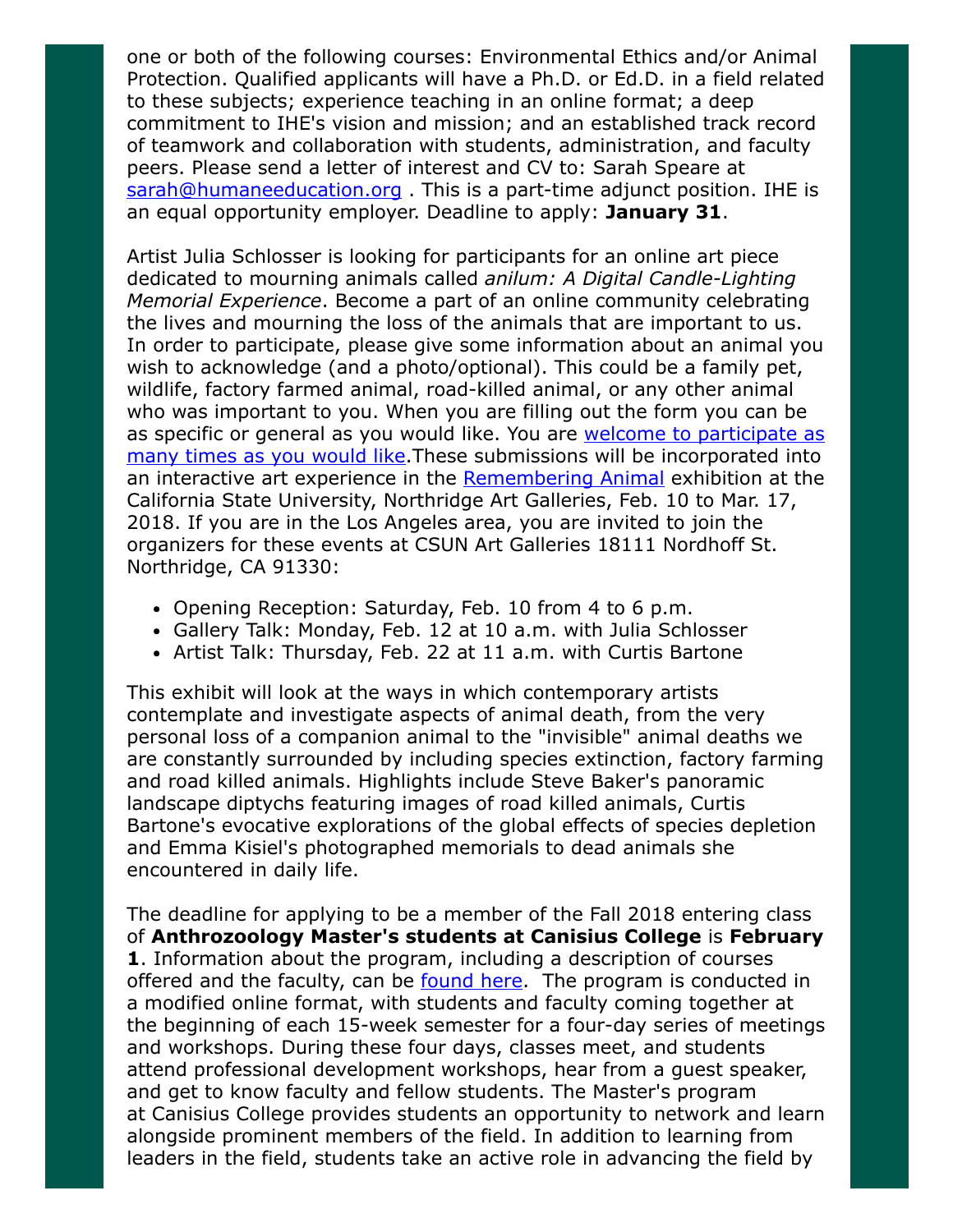one or both of the following courses: Environmental Ethics and/or Animal Protection. Qualified applicants will have a Ph.D. or Ed.D. in a field related to these subjects; experience teaching in an online format; a deep commitment to IHE's vision and mission; and an established track record of teamwork and collaboration with students, administration, and faculty peers. Please send a letter of interest and CV to: Sarah Speare at [sarah@humaneeducation.org](mailto:sarah@humaneeducation.org). This is a part-time adjunct position. IHE is an equal opportunity employer. Deadline to apply: January 31.

Artist Julia Schlosser is looking for participants for an online art piece dedicated to mourning animals called anilum: A Digital Candle-Lighting Memorial Experience. Become a part of an online community celebrating the lives and mourning the loss of the animals that are important to us. In order to participate, please give some information about an animal you wish to acknowledge (and a photo/optional). This could be a family pet, wildlife, factory farmed animal, road-killed animal, or any other animal who was important to you. When you are filling out the form you can be [as specific or general as you would like. You are welcome to participate as](https://anilum.art/animals/create) many times as you would like. These submissions will be incorporated into an interactive art experience in the [Remembering Animal](http://www.rememberinganimals.art/) exhibition at the California State University, Northridge Art Galleries, Feb. 10 to Mar. 17, 2018. If you are in the Los Angeles area, you are invited to join the organizers for these events at CSUN Art Galleries 18111 Nordhoff St. Northridge, CA 91330:

- Opening Reception: Saturday, Feb. 10 from 4 to 6 p.m.
- Gallery Talk: Monday, Feb. 12 at 10 a.m. with Julia Schlosser
- Artist Talk: Thursday, Feb. 22 at 11 a.m. with Curtis Bartone

This exhibit will look at the ways in which contemporary artists contemplate and investigate aspects of animal death, from the very personal loss of a companion animal to the "invisible" animal deaths we are constantly surrounded by including species extinction, factory farming and road killed animals. Highlights include Steve Baker's panoramic landscape diptychs featuring images of road killed animals, Curtis Bartone's evocative explorations of the global effects of species depletion and Emma Kisiel's photographed memorials to dead animals she encountered in daily life.

The deadline for applying to be a member of the Fall 2018 entering class of Anthrozoology Master's students at Canisius College is February 1. Information about the program, including a description of courses offered and the faculty, can be **found here**. The program is conducted in a modified online format, with students and faculty coming together at the beginning of each 15-week semester for a four-day series of meetings and workshops. During these four days, classes meet, and students attend professional development workshops, hear from a guest speaker, and get to know faculty and fellow students. The Master's program at Canisius College provides students an opportunity to network and learn alongside prominent members of the field. In addition to learning from leaders in the field, students take an active role in advancing the field by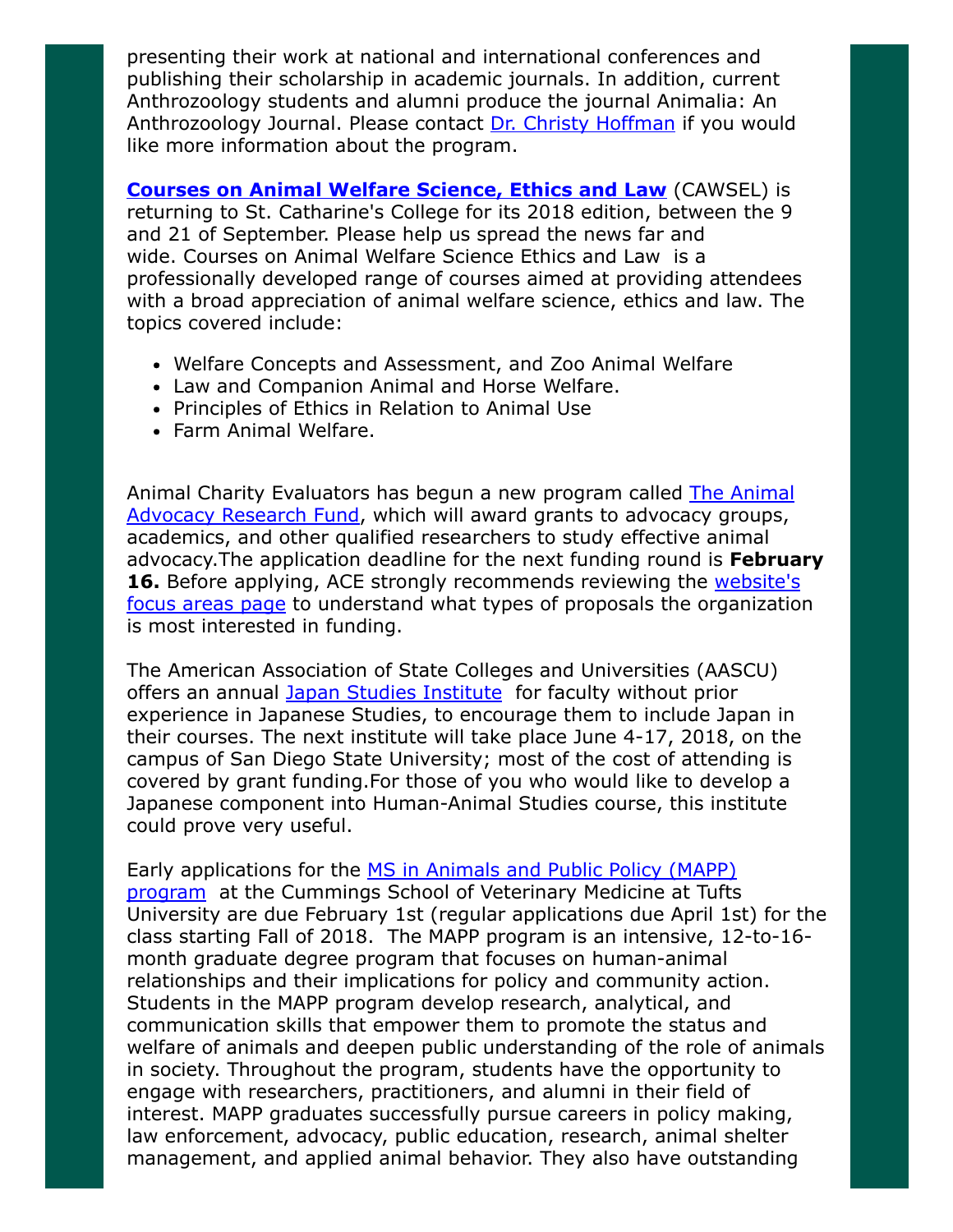presenting their work at national and international conferences and publishing their scholarship in academic journals. In addition, current Anthrozoology students and alumni produce the journal Animalia: An Anthrozoology Journal. Please contact [Dr. Christy Hoffman](mailto:hoffmanc@canisius.edu) if you would like more information about the program.

**[Courses on Animal Welfare Science, Ethics and Law](http://cawsel.com/)** (CAWSEL) is returning to St. Catharine's College for its 2018 edition, between the 9 and 21 of September. Please help us spread the news far and wide. Courses on Animal Welfare Science Ethics and Law is a professionally developed range of courses aimed at providing attendees with a broad appreciation of animal welfare science, ethics and law. The topics covered include:

- Welfare Concepts and Assessment, and Zoo Animal Welfare
- Law and Companion Animal and Horse Welfare.
- Principles of Ethics in Relation to Animal Use
- Farm Animal Welfare.

[Animal Charity Evaluators has begun a new program called The Animal](http://researchfund.animalcharityevaluators.org/) Advocacy Research Fund, which will award grants to advocacy groups, academics, and other qualified researchers to study effective animal advocacy. The application deadline for the next funding round is February 16. Before applying, ACE strongly recommends reviewing the website's [focus areas page to understand what types of proposals the organizatio](http://researchfund.animalcharityevaluators.org/intervention-research/)n is most interested in funding.

The American Association of State Colleges and Universities (AASCU) offers an annual [Japan Studies Institute](http://www.aascu.org/programs/JSI/) for faculty without prior experience in Japanese Studies, to encourage them to include Japan in their courses. The next institute will take place June 4-17, 2018, on the campus of San Diego State University; most of the cost of attending is covered by grant funding.For those of you who would like to develop a Japanese component into Human-Animal Studies course, this institute could prove very useful.

[Early applications for the MS in Animals and Public Policy \(MAPP\)](http://vet.tufts.edu/education/graduate-programs/degrees-offered/mapp/) program at the Cummings School of Veterinary Medicine at Tufts University are due February 1st (regular applications due April 1st) for the class starting Fall of 2018. The MAPP program is an intensive, 12-to-16 month graduate degree program that focuses on human-animal relationships and their implications for policy and community action. Students in the MAPP program develop research, analytical, and communication skills that empower them to promote the status and welfare of animals and deepen public understanding of the role of animals in society. Throughout the program, students have the opportunity to engage with researchers, practitioners, and alumni in their field of interest. MAPP graduates successfully pursue careers in policy making, law enforcement, advocacy, public education, research, animal shelter management, and applied animal behavior. They also have outstanding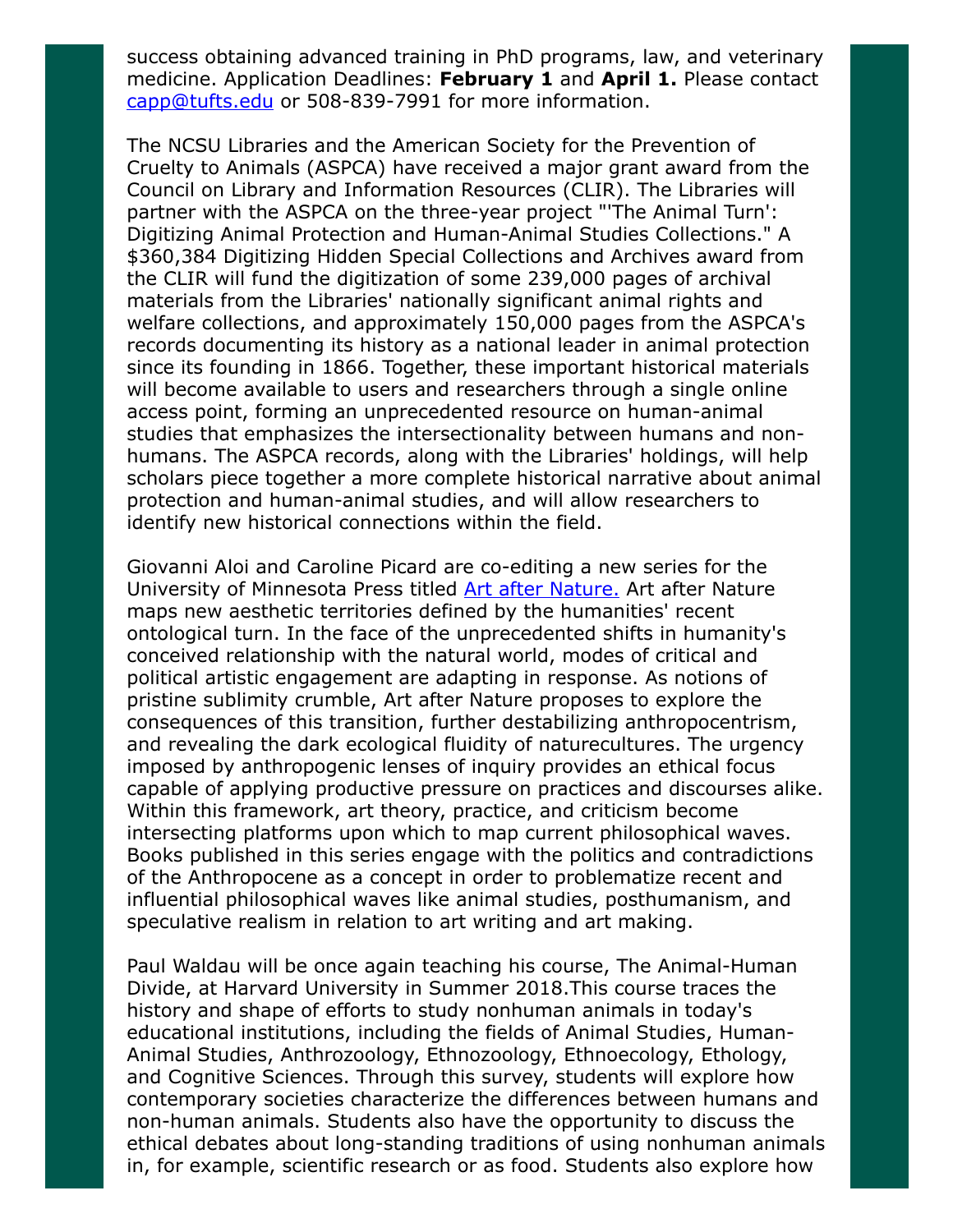success obtaining advanced training in PhD programs, law, and veterinary medicine. Application Deadlines: February 1 and April 1. Please contact [capp@tufts.edu](mailto:capp@tufts.edu) or 508-839-7991 for more information.

The NCSU Libraries and the American Society for the Prevention of Cruelty to Animals (ASPCA) have received a major grant award from the Council on Library and Information Resources (CLIR). The Libraries will partner with the ASPCA on the three-year project "'The Animal Turn': Digitizing Animal Protection and Human-Animal Studies Collections." A \$360,384 Digitizing Hidden Special Collections and Archives award from the CLIR will fund the digitization of some 239,000 pages of archival materials from the Libraries' nationally significant animal rights and welfare collections, and approximately 150,000 pages from the ASPCA's records documenting its history as a national leader in animal protection since its founding in 1866. Together, these important historical materials will become available to users and researchers through a single online access point, forming an unprecedented resource on human-animal studies that emphasizes the intersectionality between humans and nonhumans. The ASPCA records, along with the Libraries' holdings, will help scholars piece together a more complete historical narrative about animal protection and human-animal studies, and will allow researchers to identify new historical connections within the field.

Giovanni Aloi and Caroline Picard are co-editing a new series for the University of Minnesota Press titled [Art after Nature.](https://www.upress.umn.edu/press/press-releases/announcing-a-new-series-art-after-nature) Art after Nature maps new aesthetic territories defined by the humanities' recent ontological turn. In the face of the unprecedented shifts in humanity's conceived relationship with the natural world, modes of critical and political artistic engagement are adapting in response. As notions of pristine sublimity crumble, Art after Nature proposes to explore the consequences of this transition, further destabilizing anthropocentrism, and revealing the dark ecological fluidity of naturecultures. The urgency imposed by anthropogenic lenses of inquiry provides an ethical focus capable of applying productive pressure on practices and discourses alike. Within this framework, art theory, practice, and criticism become intersecting platforms upon which to map current philosophical waves. Books published in this series engage with the politics and contradictions of the Anthropocene as a concept in order to problematize recent and influential philosophical waves like animal studies, posthumanism, and speculative realism in relation to art writing and art making.

Paul Waldau will be once again teaching his course, The Animal-Human Divide, at Harvard University in Summer 2018.This course traces the history and shape of efforts to study nonhuman animals in today's educational institutions, including the fields of Animal Studies, Human-Animal Studies, Anthrozoology, Ethnozoology, Ethnoecology, Ethology, and Cognitive Sciences. Through this survey, students will explore how contemporary societies characterize the differences between humans and non-human animals. Students also have the opportunity to discuss the ethical debates about long-standing traditions of using nonhuman animals in, for example, scientific research or as food. Students also explore how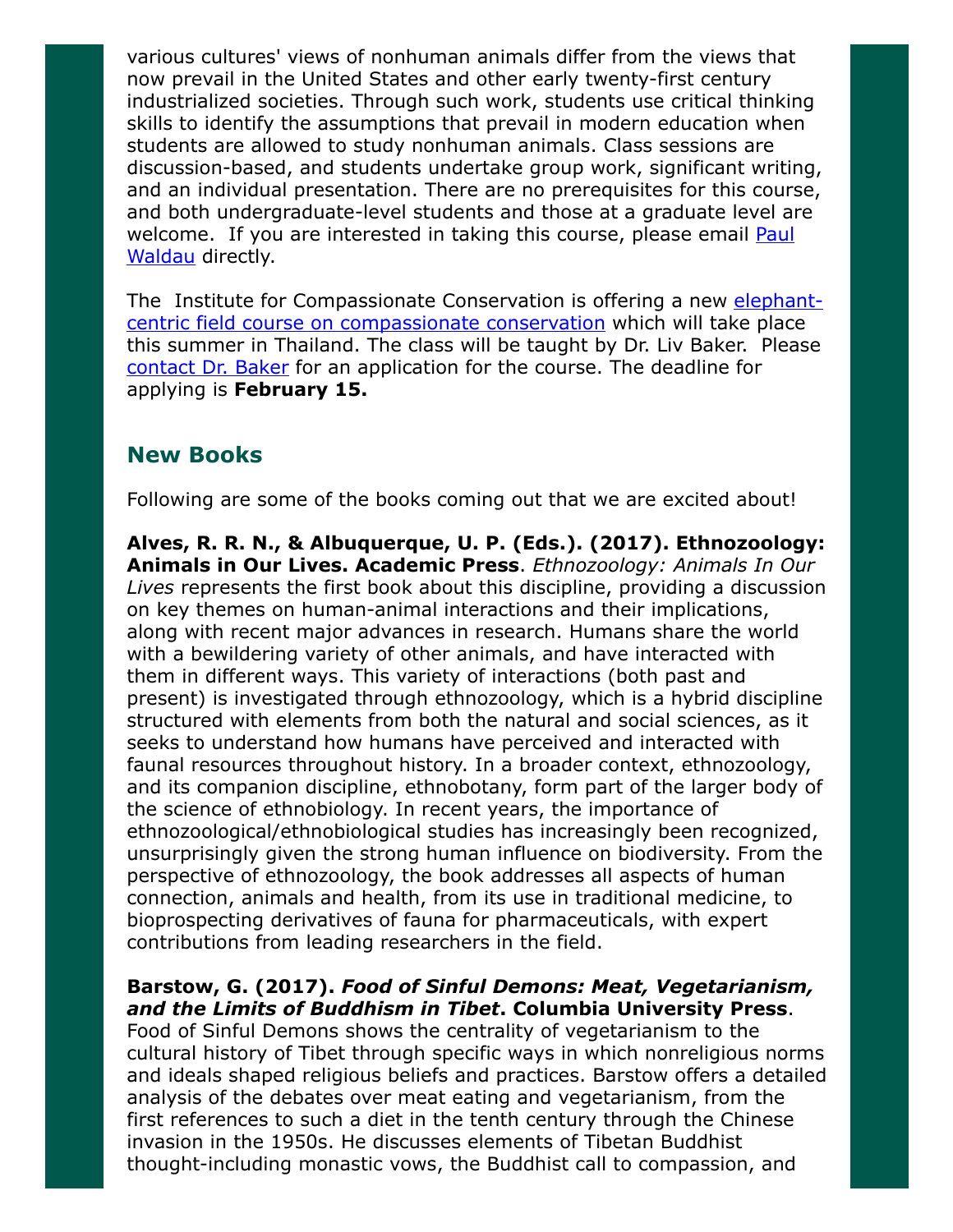various cultures' views of nonhuman animals differ from the views that now prevail in the United States and other early twenty-first century industrialized societies. Through such work, students use critical thinking skills to identify the assumptions that prevail in modern education when students are allowed to study nonhuman animals. Class sessions are discussion-based, and students undertake group work, significant writing, and an individual presentation. There are no prerequisites for this course, and both undergraduate-level students and those at a graduate level are welcome. If you are interested in taking this course, please email **Paul** Waldau directly.

[The Institute for Compassionate Conservation is offering a new elephant](http://compassionateconservationinstitute.org/)centric field course on compassionate conservation which will take place this summer in Thailand. The class will be taught by Dr. Liv Baker. Please [contact Dr. Baker](mailto:livbaker@compassionateconservationinstitute.org) for an application for the course. The deadline for applying is February 15.

## New Books

Following are some of the books coming out that we are excited about!

Alves, R. R. N., & Albuquerque, U. P. (Eds.). (2017). Ethnozoology: Animals in Our Lives. Academic Press. Ethnozoology: Animals In Our Lives represents the first book about this discipline, providing a discussion on key themes on human-animal interactions and their implications, along with recent major advances in research. Humans share the world with a bewildering variety of other animals, and have interacted with them in different ways. This variety of interactions (both past and present) is investigated through ethnozoology, which is a hybrid discipline structured with elements from both the natural and social sciences, as it seeks to understand how humans have perceived and interacted with faunal resources throughout history. In a broader context, ethnozoology, and its companion discipline, ethnobotany, form part of the larger body of the science of ethnobiology. In recent years, the importance of ethnozoological/ethnobiological studies has increasingly been recognized, unsurprisingly given the strong human influence on biodiversity. From the perspective of ethnozoology, the book addresses all aspects of human connection, animals and health, from its use in traditional medicine, to bioprospecting derivatives of fauna for pharmaceuticals, with expert contributions from leading researchers in the field.

## Barstow, G. (2017). Food of Sinful Demons: Meat, Vegetarianism, and the Limits of Buddhism in Tibet. Columbia University Press.

Food of Sinful Demons shows the centrality of vegetarianism to the cultural history of Tibet through specific ways in which nonreligious norms and ideals shaped religious beliefs and practices. Barstow offers a detailed analysis of the debates over meat eating and vegetarianism, from the first references to such a diet in the tenth century through the Chinese invasion in the 1950s. He discusses elements of Tibetan Buddhist thought-including monastic vows, the Buddhist call to compassion, and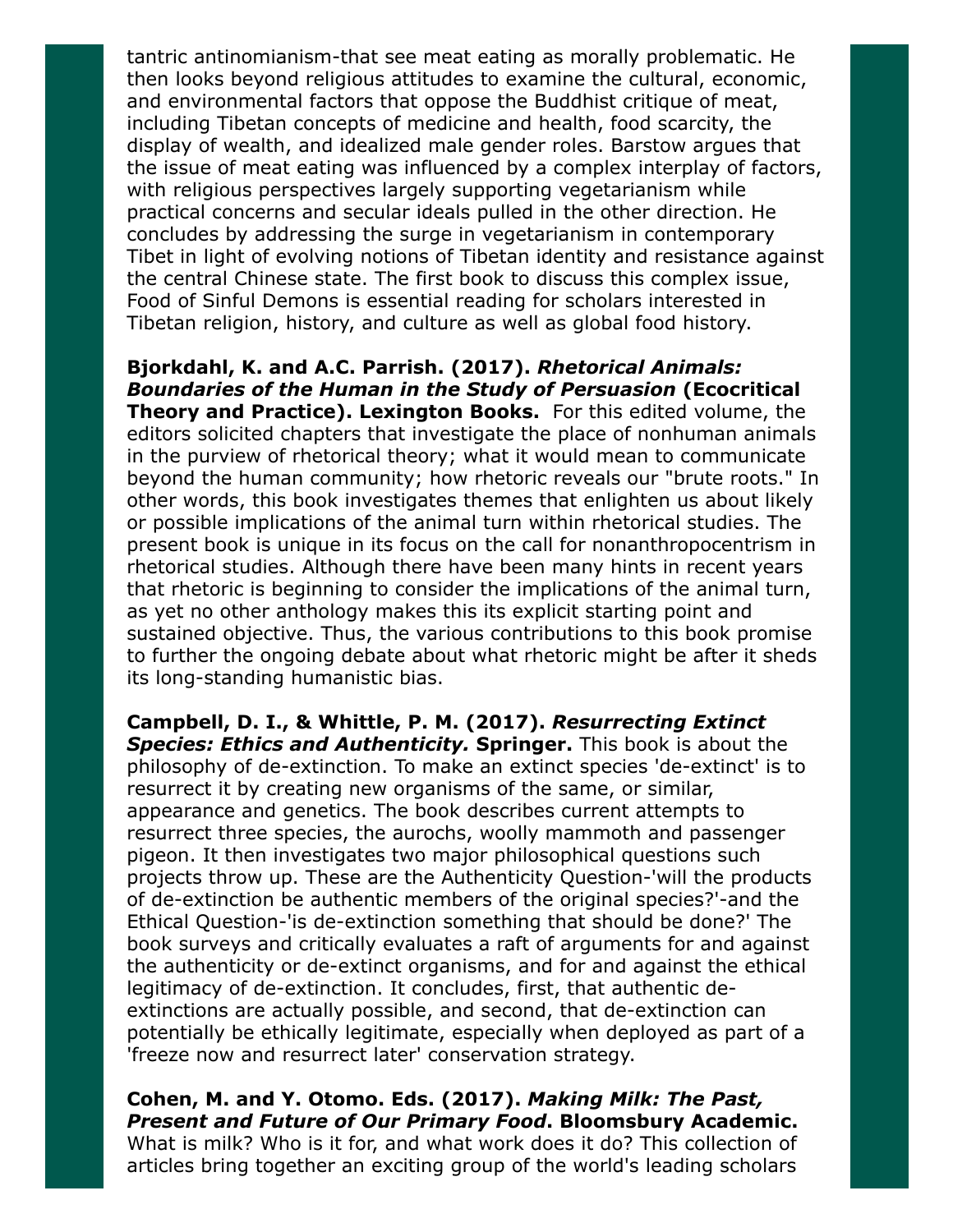tantric antinomianism-that see meat eating as morally problematic. He then looks beyond religious attitudes to examine the cultural, economic, and environmental factors that oppose the Buddhist critique of meat, including Tibetan concepts of medicine and health, food scarcity, the display of wealth, and idealized male gender roles. Barstow argues that the issue of meat eating was influenced by a complex interplay of factors, with religious perspectives largely supporting vegetarianism while practical concerns and secular ideals pulled in the other direction. He concludes by addressing the surge in vegetarianism in contemporary Tibet in light of evolving notions of Tibetan identity and resistance against the central Chinese state. The first book to discuss this complex issue, Food of Sinful Demons is essential reading for scholars interested in Tibetan religion, history, and culture as well as global food history.

Bjorkdahl, K. and A.C. Parrish. (2017). Rhetorical Animals: Boundaries of the Human in the Study of Persuasion (Ecocritical Theory and Practice). Lexington Books. For this edited volume, the editors solicited chapters that investigate the place of nonhuman animals in the purview of rhetorical theory; what it would mean to communicate beyond the human community; how rhetoric reveals our "brute roots." In other words, this book investigates themes that enlighten us about likely or possible implications of the animal turn within rhetorical studies. The present book is unique in its focus on the call for nonanthropocentrism in rhetorical studies. Although there have been many hints in recent years that rhetoric is beginning to consider the implications of the animal turn, as yet no other anthology makes this its explicit starting point and sustained objective. Thus, the various contributions to this book promise to further the ongoing debate about what rhetoric might be after it sheds its long-standing humanistic bias.

Campbell, D. I., & Whittle, P. M. (2017). Resurrecting Extinct Species: Ethics and Authenticity. Springer. This book is about the philosophy of de-extinction. To make an extinct species 'de-extinct' is to resurrect it by creating new organisms of the same, or similar, appearance and genetics. The book describes current attempts to resurrect three species, the aurochs, woolly mammoth and passenger pigeon. It then investigates two major philosophical questions such projects throw up. These are the Authenticity Question-'will the products of de-extinction be authentic members of the original species?'-and the Ethical Question-'is de-extinction something that should be done?' The book surveys and critically evaluates a raft of arguments for and against the authenticity or de-extinct organisms, and for and against the ethical legitimacy of de-extinction. It concludes, first, that authentic deextinctions are actually possible, and second, that de-extinction can potentially be ethically legitimate, especially when deployed as part of a 'freeze now and resurrect later' conservation strategy.

Cohen, M. and Y. Otomo. Eds. (2017). Making Milk: The Past, Present and Future of Our Primary Food. Bloomsbury Academic. What is milk? Who is it for, and what work does it do? This collection of articles bring together an exciting group of the world's leading scholars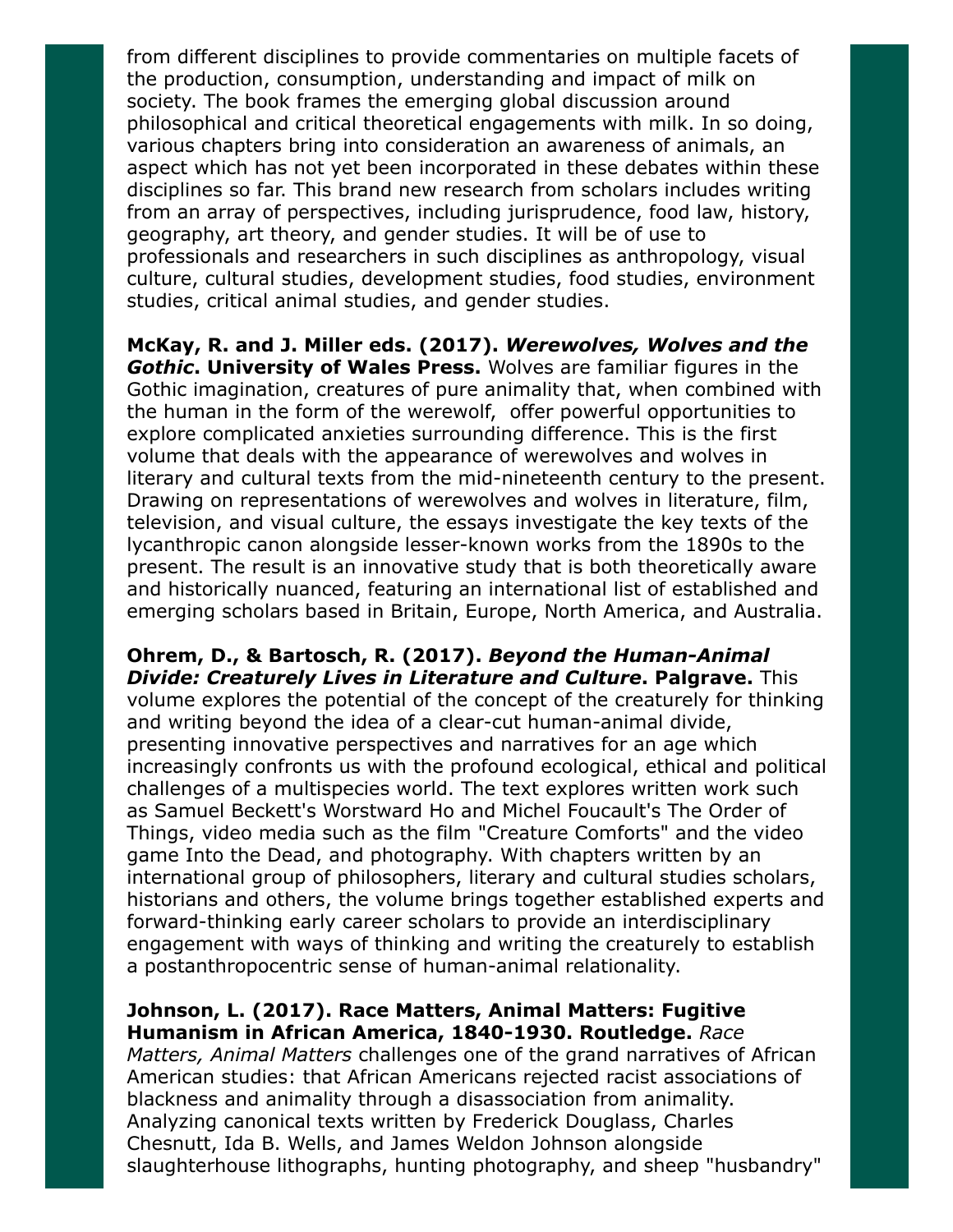from different disciplines to provide commentaries on multiple facets of the production, consumption, understanding and impact of milk on society. The book frames the emerging global discussion around philosophical and critical theoretical engagements with milk. In so doing, various chapters bring into consideration an awareness of animals, an aspect which has not yet been incorporated in these debates within these disciplines so far. This brand new research from scholars includes writing from an array of perspectives, including jurisprudence, food law, history, geography, art theory, and gender studies. It will be of use to professionals and researchers in such disciplines as anthropology, visual culture, cultural studies, development studies, food studies, environment studies, critical animal studies, and gender studies.

McKay, R. and J. Miller eds. (2017). Werewolves, Wolves and the Gothic. University of Wales Press. Wolves are familiar figures in the Gothic imagination, creatures of pure animality that, when combined with the human in the form of the werewolf, offer powerful opportunities to explore complicated anxieties surrounding difference. This is the first volume that deals with the appearance of werewolves and wolves in literary and cultural texts from the mid-nineteenth century to the present. Drawing on representations of werewolves and wolves in literature, film, television, and visual culture, the essays investigate the key texts of the lycanthropic canon alongside lesser-known works from the 1890s to the present. The result is an innovative study that is both theoretically aware and historically nuanced, featuring an international list of established and emerging scholars based in Britain, Europe, North America, and Australia.

Ohrem, D., & Bartosch, R. (2017). Beyond the Human-Animal **Divide: Creaturely Lives in Literature and Culture. Palgrave.** This volume explores the potential of the concept of the creaturely for thinking and writing beyond the idea of a clear-cut human-animal divide, presenting innovative perspectives and narratives for an age which increasingly confronts us with the profound ecological, ethical and political challenges of a multispecies world. The text explores written work such as Samuel Beckett's Worstward Ho and Michel Foucault's The Order of Things, video media such as the film "Creature Comforts" and the video game Into the Dead, and photography. With chapters written by an international group of philosophers, literary and cultural studies scholars, historians and others, the volume brings together established experts and forward-thinking early career scholars to provide an interdisciplinary engagement with ways of thinking and writing the creaturely to establish a postanthropocentric sense of human-animal relationality.

#### Johnson, L. (2017). Race Matters, Animal Matters: Fugitive Humanism in African America, 1840-1930. Routledge. Race

Matters, Animal Matters challenges one of the grand narratives of African American studies: that African Americans rejected racist associations of blackness and animality through a disassociation from animality. Analyzing canonical texts written by Frederick Douglass, Charles Chesnutt, Ida B. Wells, and James Weldon Johnson alongside slaughterhouse lithographs, hunting photography, and sheep "husbandry"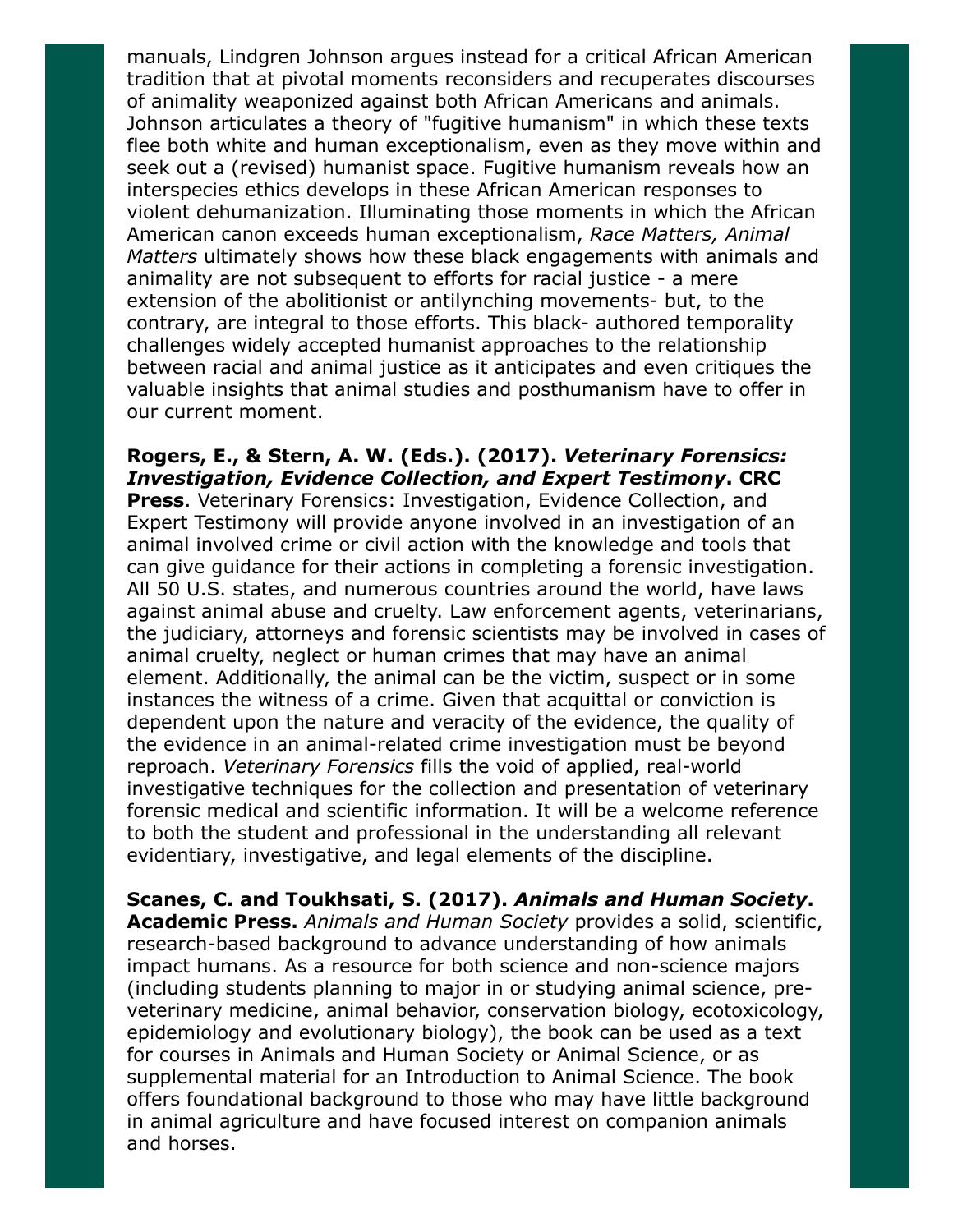manuals, Lindgren Johnson argues instead for a critical African American tradition that at pivotal moments reconsiders and recuperates discourses of animality weaponized against both African Americans and animals. Johnson articulates a theory of "fugitive humanism" in which these texts flee both white and human exceptionalism, even as they move within and seek out a (revised) humanist space. Fugitive humanism reveals how an interspecies ethics develops in these African American responses to violent dehumanization. Illuminating those moments in which the African American canon exceeds human exceptionalism, Race Matters, Animal Matters ultimately shows how these black engagements with animals and animality are not subsequent to efforts for racial justice - a mere extension of the abolitionist or antilynching movements- but, to the contrary, are integral to those efforts. This black- authored temporality challenges widely accepted humanist approaches to the relationship between racial and animal justice as it anticipates and even critiques the valuable insights that animal studies and posthumanism have to offer in our current moment.

#### Rogers, E., & Stern, A. W. (Eds.). (2017). Veterinary Forensics: Investigation, Evidence Collection, and Expert Testimony. CRC

Press. Veterinary Forensics: Investigation, Evidence Collection, and Expert Testimony will provide anyone involved in an investigation of an animal involved crime or civil action with the knowledge and tools that can give guidance for their actions in completing a forensic investigation. All 50 U.S. states, and numerous countries around the world, have laws against animal abuse and cruelty. Law enforcement agents, veterinarians, the judiciary, attorneys and forensic scientists may be involved in cases of animal cruelty, neglect or human crimes that may have an animal element. Additionally, the animal can be the victim, suspect or in some instances the witness of a crime. Given that acquittal or conviction is dependent upon the nature and veracity of the evidence, the quality of the evidence in an animal-related crime investigation must be beyond reproach. Veterinary Forensics fills the void of applied, real-world investigative techniques for the collection and presentation of veterinary forensic medical and scientific information. It will be a welcome reference to both the student and professional in the understanding all relevant evidentiary, investigative, and legal elements of the discipline.

Scanes, C. and Toukhsati, S. (2017). Animals and Human Society. Academic Press. Animals and Human Society provides a solid, scientific, research-based background to advance understanding of how animals impact humans. As a resource for both science and non-science majors (including students planning to major in or studying animal science, preveterinary medicine, animal behavior, conservation biology, ecotoxicology, epidemiology and evolutionary biology), the book can be used as a text for courses in Animals and Human Society or Animal Science, or as supplemental material for an Introduction to Animal Science. The book offers foundational background to those who may have little background in animal agriculture and have focused interest on companion animals and horses.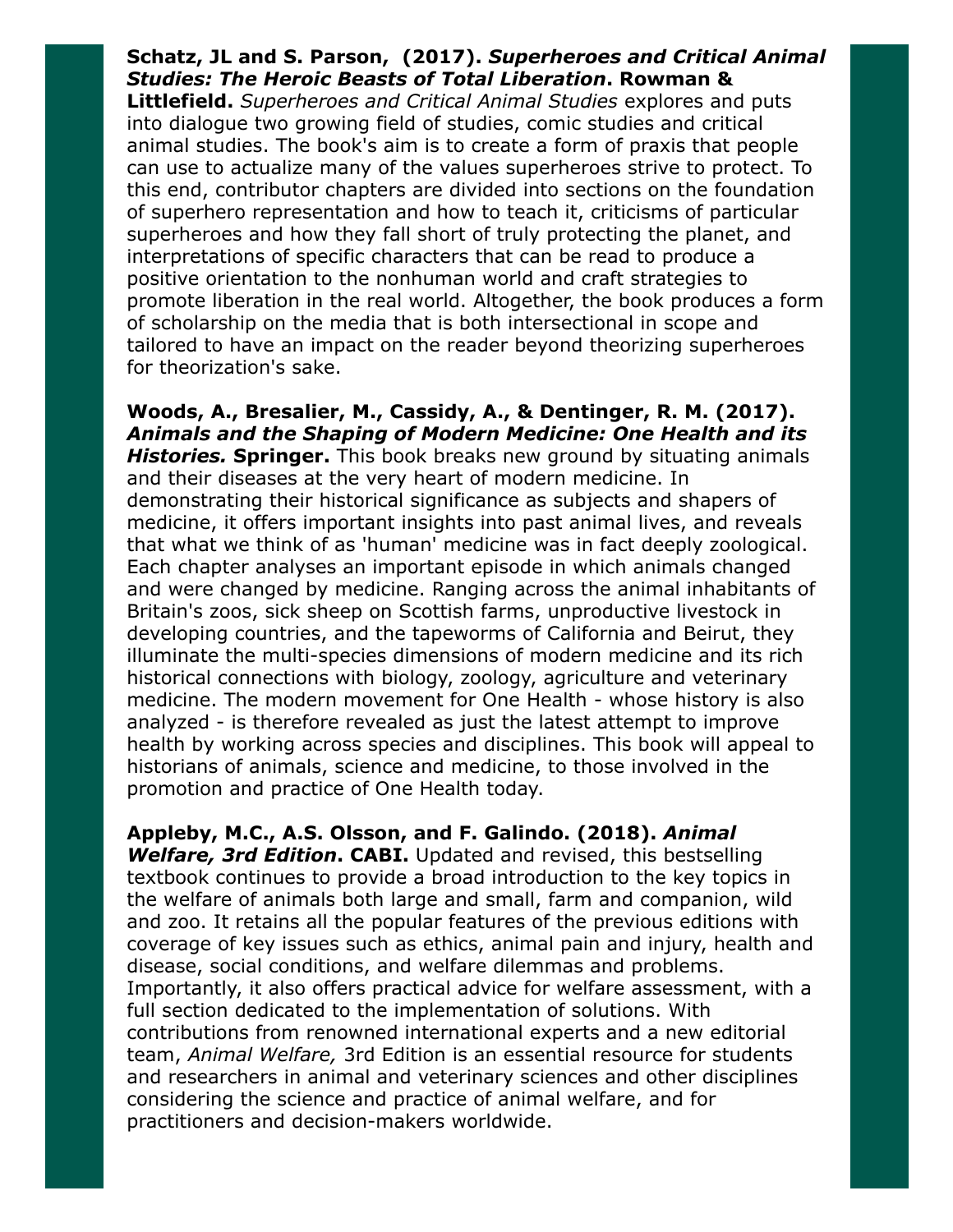### Schatz, JL and S. Parson, (2017). Superheroes and Critical Animal Studies: The Heroic Beasts of Total Liberation. Rowman &

Littlefield. Superheroes and Critical Animal Studies explores and puts into dialogue two growing field of studies, comic studies and critical animal studies. The book's aim is to create a form of praxis that people can use to actualize many of the values superheroes strive to protect. To this end, contributor chapters are divided into sections on the foundation of superhero representation and how to teach it, criticisms of particular superheroes and how they fall short of truly protecting the planet, and interpretations of specific characters that can be read to produce a positive orientation to the nonhuman world and craft strategies to promote liberation in the real world. Altogether, the book produces a form of scholarship on the media that is both intersectional in scope and tailored to have an impact on the reader beyond theorizing superheroes for theorization's sake.

Woods, A., Bresalier, M., Cassidy, A., & Dentinger, R. M. (2017). Animals and the Shaping of Modern Medicine: One Health and its Histories. Springer. This book breaks new ground by situating animals and their diseases at the very heart of modern medicine. In demonstrating their historical significance as subjects and shapers of medicine, it offers important insights into past animal lives, and reveals that what we think of as 'human' medicine was in fact deeply zoological. Each chapter analyses an important episode in which animals changed and were changed by medicine. Ranging across the animal inhabitants of Britain's zoos, sick sheep on Scottish farms, unproductive livestock in developing countries, and the tapeworms of California and Beirut, they illuminate the multi-species dimensions of modern medicine and its rich historical connections with biology, zoology, agriculture and veterinary medicine. The modern movement for One Health - whose history is also analyzed - is therefore revealed as just the latest attempt to improve health by working across species and disciplines. This book will appeal to historians of animals, science and medicine, to those involved in the promotion and practice of One Health today.

Appleby, M.C., A.S. Olsson, and F. Galindo. (2018). Animal Welfare, 3rd Edition. CABI. Updated and revised, this bestselling textbook continues to provide a broad introduction to the key topics in the welfare of animals both large and small, farm and companion, wild and zoo. It retains all the popular features of the previous editions with coverage of key issues such as ethics, animal pain and injury, health and disease, social conditions, and welfare dilemmas and problems. Importantly, it also offers practical advice for welfare assessment, with a full section dedicated to the implementation of solutions. With contributions from renowned international experts and a new editorial team, Animal Welfare, 3rd Edition is an essential resource for students and researchers in animal and veterinary sciences and other disciplines considering the science and practice of animal welfare, and for practitioners and decision-makers worldwide.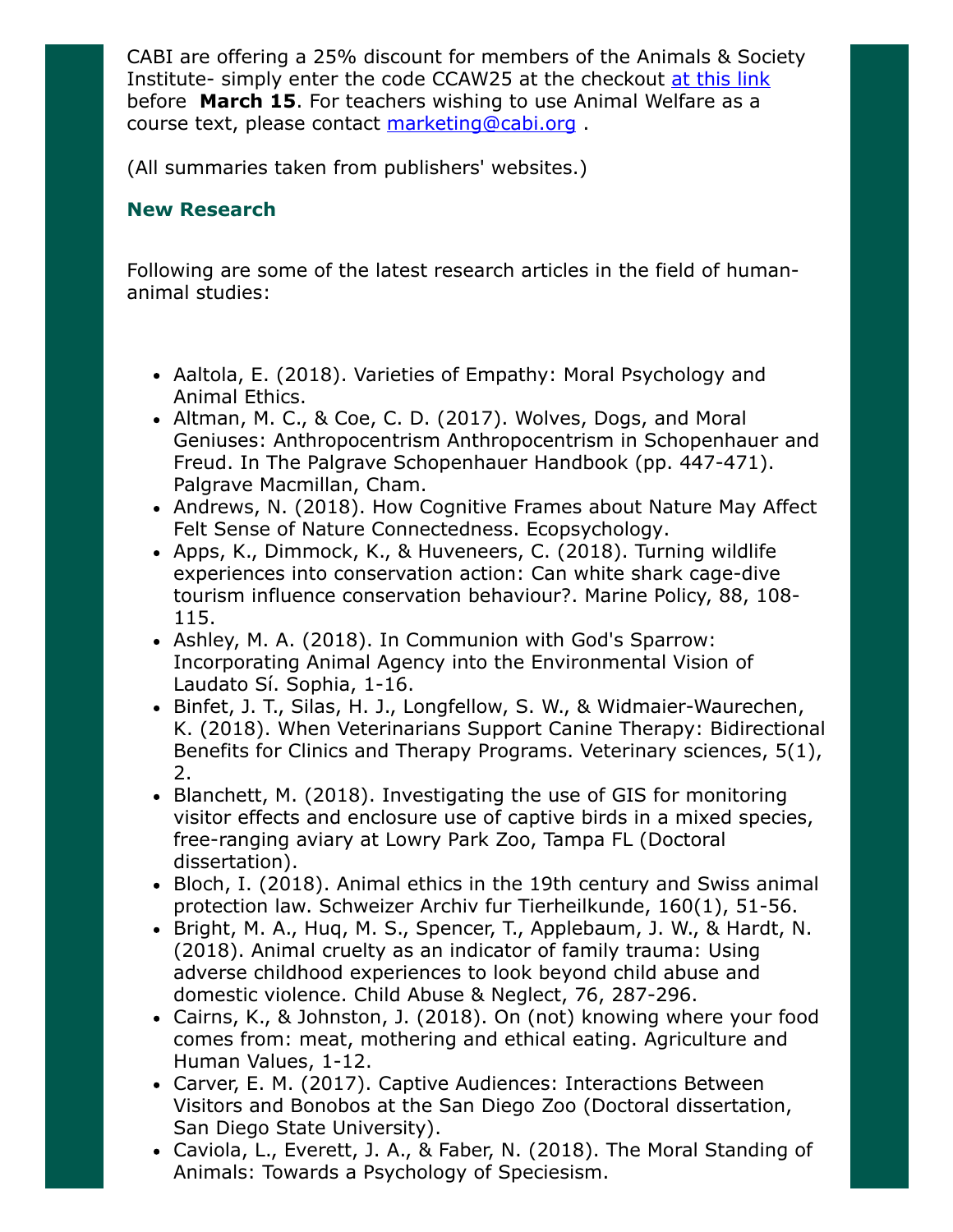CABI are offering a 25% discount for members of the Animals & Society Institute- simply enter the code CCAW25 at the checkout [at this link](https://www.cabi.org/bookshop/book/9781786390202?utm_source=society&utm_campaign=6vet_2vda_7link_2text_0118_Appleby_ASI) before March 15. For teachers wishing to use Animal Welfare as a course text, please contact [marketing@cabi.org](mailto:marketing@cabi.org) .

(All summaries taken from publishers' websites.)

## New Research

Following are some of the latest research articles in the field of humananimal studies:

- Aaltola, E. (2018). Varieties of Empathy: Moral Psychology and Animal Ethics.
- Altman, M. C., & Coe, C. D. (2017). Wolves, Dogs, and Moral Geniuses: Anthropocentrism Anthropocentrism in Schopenhauer and Freud. In The Palgrave Schopenhauer Handbook (pp. 447-471). Palgrave Macmillan, Cham.
- Andrews, N. (2018). How Cognitive Frames about Nature May Affect Felt Sense of Nature Connectedness. Ecopsychology.
- Apps, K., Dimmock, K., & Huveneers, C. (2018). Turning wildlife experiences into conservation action: Can white shark cage-dive tourism influence conservation behaviour?. Marine Policy, 88, 108- 115.
- Ashley, M. A. (2018). In Communion with God's Sparrow: Incorporating Animal Agency into the Environmental Vision of Laudato Sí. Sophia, 1-16.
- Binfet, J. T., Silas, H. J., Longfellow, S. W., & Widmaier-Waurechen, K. (2018). When Veterinarians Support Canine Therapy: Bidirectional Benefits for Clinics and Therapy Programs. Veterinary sciences, 5(1), 2.
- Blanchett, M. (2018). Investigating the use of GIS for monitoring visitor effects and enclosure use of captive birds in a mixed species, free-ranging aviary at Lowry Park Zoo, Tampa FL (Doctoral dissertation).
- Bloch, I. (2018). Animal ethics in the 19th century and Swiss animal protection law. Schweizer Archiv fur Tierheilkunde, 160(1), 51-56.
- Bright, M. A., Huq, M. S., Spencer, T., Applebaum, J. W., & Hardt, N. (2018). Animal cruelty as an indicator of family trauma: Using adverse childhood experiences to look beyond child abuse and domestic violence. Child Abuse & Neglect, 76, 287-296.
- Cairns, K., & Johnston, J. (2018). On (not) knowing where your food comes from: meat, mothering and ethical eating. Agriculture and Human Values, 1-12.
- Carver, E. M. (2017). Captive Audiences: Interactions Between Visitors and Bonobos at the San Diego Zoo (Doctoral dissertation, San Diego State University).
- Caviola, L., Everett, J. A., & Faber, N. (2018). The Moral Standing of Animals: Towards a Psychology of Speciesism.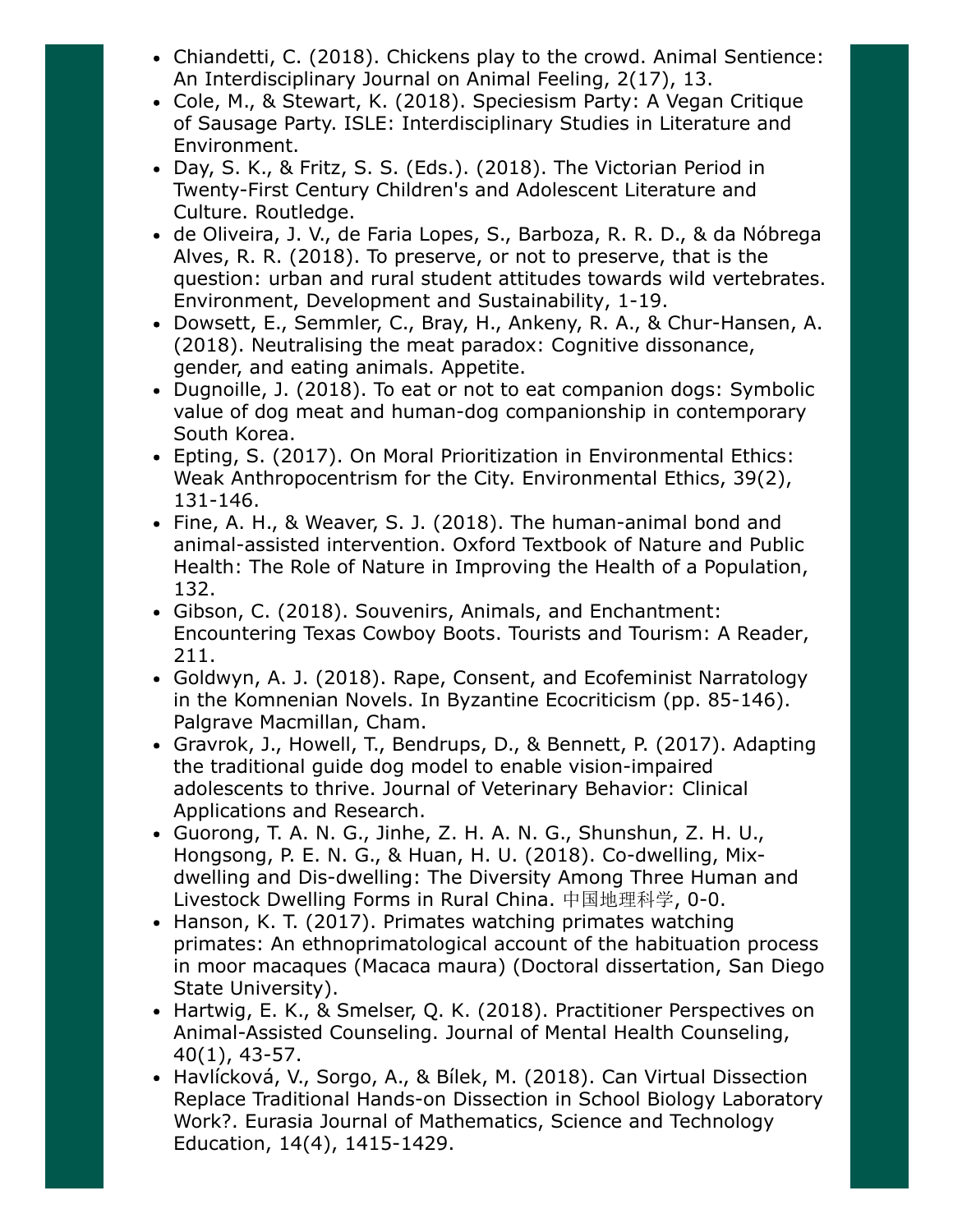- Chiandetti, C. (2018). Chickens play to the crowd. Animal Sentience: An Interdisciplinary Journal on Animal Feeling, 2(17), 13.
- Cole, M., & Stewart, K. (2018). Speciesism Party: A Vegan Critique of Sausage Party. ISLE: Interdisciplinary Studies in Literature and Environment.
- Day, S. K., & Fritz, S. S. (Eds.). (2018). The Victorian Period in Twenty-First Century Children's and Adolescent Literature and Culture. Routledge.
- de Oliveira, J. V., de Faria Lopes, S., Barboza, R. R. D., & da Nóbrega Alves, R. R. (2018). To preserve, or not to preserve, that is the question: urban and rural student attitudes towards wild vertebrates. Environment, Development and Sustainability, 1-19.
- Dowsett, E., Semmler, C., Bray, H., Ankeny, R. A., & Chur-Hansen, A. (2018). Neutralising the meat paradox: Cognitive dissonance, gender, and eating animals. Appetite.
- Dugnoille, J. (2018). To eat or not to eat companion dogs: Symbolic value of dog meat and human-dog companionship in contemporary South Korea.
- Epting, S. (2017). On Moral Prioritization in Environmental Ethics: Weak Anthropocentrism for the City. Environmental Ethics, 39(2), 131-146.
- Fine, A. H., & Weaver, S. J. (2018). The human-animal bond and animal-assisted intervention. Oxford Textbook of Nature and Public Health: The Role of Nature in Improving the Health of a Population, 132.
- Gibson, C. (2018). Souvenirs, Animals, and Enchantment: Encountering Texas Cowboy Boots. Tourists and Tourism: A Reader, 211.
- Goldwyn, A. J. (2018). Rape, Consent, and Ecofeminist Narratology in the Komnenian Novels. In Byzantine Ecocriticism (pp. 85-146). Palgrave Macmillan, Cham.
- Gravrok, J., Howell, T., Bendrups, D., & Bennett, P. (2017). Adapting the traditional guide dog model to enable vision-impaired adolescents to thrive. Journal of Veterinary Behavior: Clinical Applications and Research.
- Guorong, T. A. N. G., Jinhe, Z. H. A. N. G., Shunshun, Z. H. U., Hongsong, P. E. N. G., & Huan, H. U. (2018). Co-dwelling, Mixdwelling and Dis-dwelling: The Diversity Among Three Human and Livestock Dwelling Forms in Rural China. 中国地理科学, 0-0.
- Hanson, K. T. (2017). Primates watching primates watching primates: An ethnoprimatological account of the habituation process in moor macaques (Macaca maura) (Doctoral dissertation, San Diego State University).
- Hartwig, E. K., & Smelser, Q. K. (2018). Practitioner Perspectives on Animal-Assisted Counseling. Journal of Mental Health Counseling, 40(1), 43-57.
- Havlícková, V., Sorgo, A., & Bílek, M. (2018). Can Virtual Dissection Replace Traditional Hands-on Dissection in School Biology Laboratory Work?. Eurasia Journal of Mathematics, Science and Technology Education, 14(4), 1415-1429.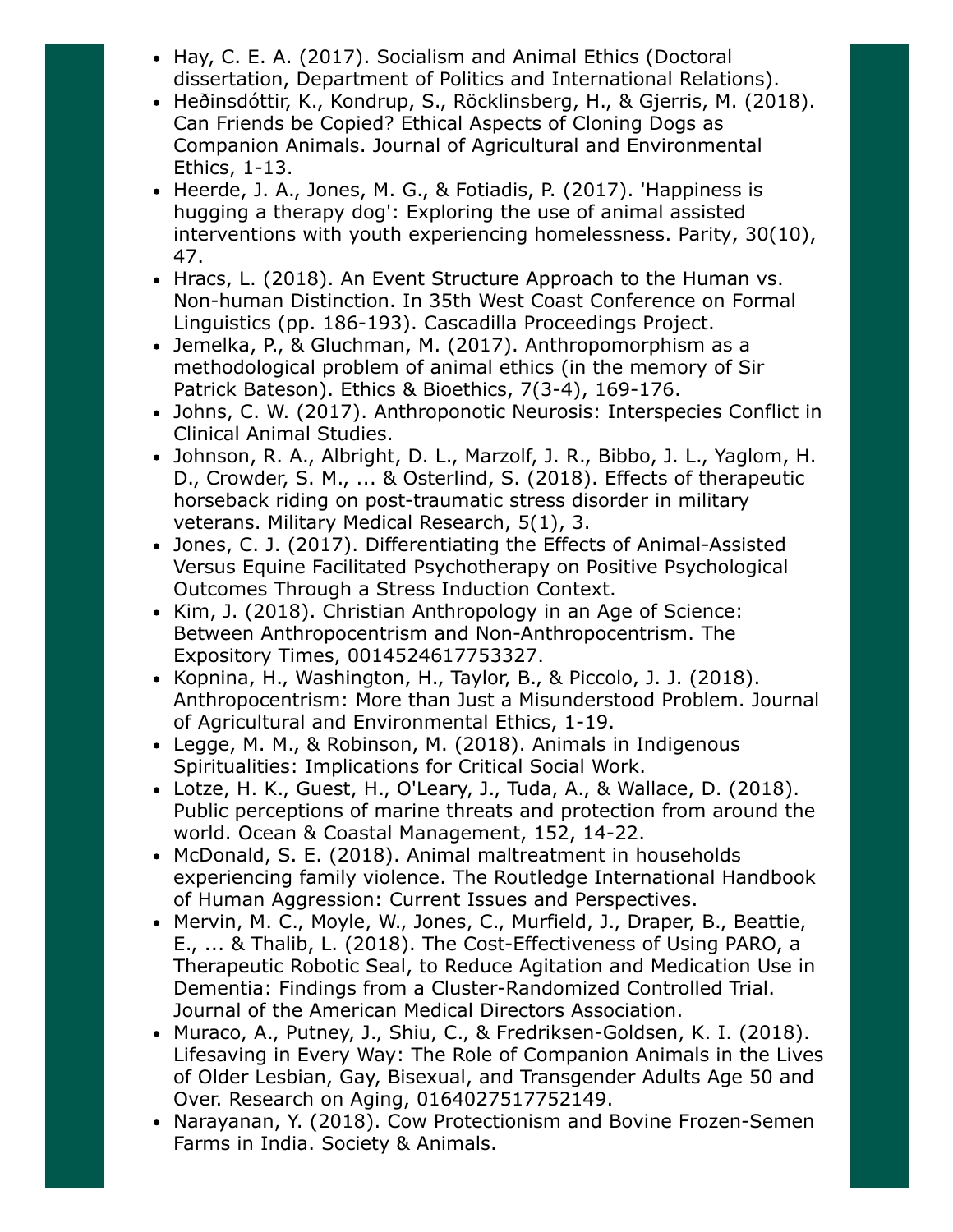- Hay, C. E. A. (2017). Socialism and Animal Ethics (Doctoral dissertation, Department of Politics and International Relations).
- Heðinsdóttir, K., Kondrup, S., Röcklinsberg, H., & Gjerris, M. (2018). Can Friends be Copied? Ethical Aspects of Cloning Dogs as Companion Animals. Journal of Agricultural and Environmental Ethics, 1-13.
- Heerde, J. A., Jones, M. G., & Fotiadis, P. (2017). 'Happiness is hugging a therapy dog': Exploring the use of animal assisted interventions with youth experiencing homelessness. Parity, 30(10), 47.
- Hracs, L. (2018). An Event Structure Approach to the Human vs. Non-human Distinction. In 35th West Coast Conference on Formal Linguistics (pp. 186-193). Cascadilla Proceedings Project.
- Jemelka, P., & Gluchman, M. (2017). Anthropomorphism as a methodological problem of animal ethics (in the memory of Sir Patrick Bateson). Ethics & Bioethics, 7(3-4), 169-176.
- Johns, C. W. (2017). Anthroponotic Neurosis: Interspecies Conflict in Clinical Animal Studies.
- Johnson, R. A., Albright, D. L., Marzolf, J. R., Bibbo, J. L., Yaglom, H. D., Crowder, S. M., ... & Osterlind, S. (2018). Effects of therapeutic horseback riding on post-traumatic stress disorder in military veterans. Military Medical Research, 5(1), 3.
- Jones, C. J. (2017). Differentiating the Effects of Animal-Assisted Versus Equine Facilitated Psychotherapy on Positive Psychological Outcomes Through a Stress Induction Context.
- Kim, J. (2018). Christian Anthropology in an Age of Science: Between Anthropocentrism and Non-Anthropocentrism. The Expository Times, 0014524617753327.
- Kopnina, H., Washington, H., Taylor, B., & Piccolo, J. J. (2018). Anthropocentrism: More than Just a Misunderstood Problem. Journal of Agricultural and Environmental Ethics, 1-19.
- Legge, M. M., & Robinson, M. (2018). Animals in Indigenous Spiritualities: Implications for Critical Social Work.
- Lotze, H. K., Guest, H., O'Leary, J., Tuda, A., & Wallace, D. (2018). Public perceptions of marine threats and protection from around the world. Ocean & Coastal Management, 152, 14-22.
- McDonald, S. E. (2018). Animal maltreatment in households experiencing family violence. The Routledge International Handbook of Human Aggression: Current Issues and Perspectives.
- Mervin, M. C., Moyle, W., Jones, C., Murfield, J., Draper, B., Beattie, E., ... & Thalib, L. (2018). The Cost-Effectiveness of Using PARO, a Therapeutic Robotic Seal, to Reduce Agitation and Medication Use in Dementia: Findings from a Cluster-Randomized Controlled Trial. Journal of the American Medical Directors Association.
- Muraco, A., Putney, J., Shiu, C., & Fredriksen-Goldsen, K. I. (2018). Lifesaving in Every Way: The Role of Companion Animals in the Lives of Older Lesbian, Gay, Bisexual, and Transgender Adults Age 50 and Over. Research on Aging, 0164027517752149.
- Narayanan, Y. (2018). Cow Protectionism and Bovine Frozen-Semen Farms in India. Society & Animals.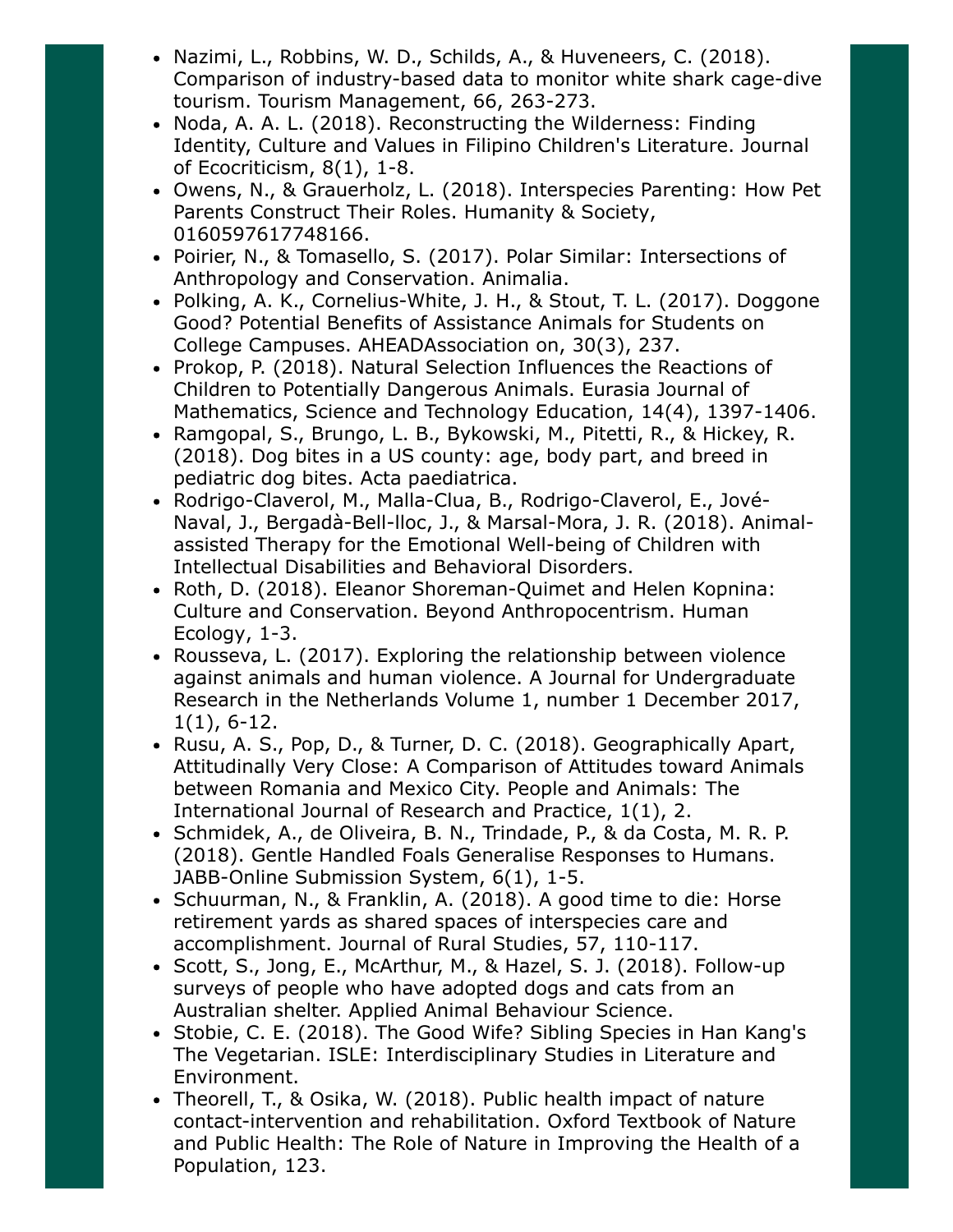- Nazimi, L., Robbins, W. D., Schilds, A., & Huveneers, C. (2018). Comparison of industry-based data to monitor white shark cage-dive tourism. Tourism Management, 66, 263-273.
- Noda, A. A. L. (2018). Reconstructing the Wilderness: Finding Identity, Culture and Values in Filipino Children's Literature. Journal of Ecocriticism, 8(1), 1-8.
- Owens, N., & Grauerholz, L. (2018). Interspecies Parenting: How Pet Parents Construct Their Roles. Humanity & Society, 0160597617748166.
- Poirier, N., & Tomasello, S. (2017). Polar Similar: Intersections of Anthropology and Conservation. Animalia.
- Polking, A. K., Cornelius-White, J. H., & Stout, T. L. (2017). Doggone Good? Potential Benefits of Assistance Animals for Students on College Campuses. AHEADAssociation on, 30(3), 237.
- Prokop, P. (2018). Natural Selection Influences the Reactions of Children to Potentially Dangerous Animals. Eurasia Journal of Mathematics, Science and Technology Education, 14(4), 1397-1406.
- Ramgopal, S., Brungo, L. B., Bykowski, M., Pitetti, R., & Hickey, R. (2018). Dog bites in a US county: age, body part, and breed in pediatric dog bites. Acta paediatrica.
- Rodrigo-Claverol, M., Malla-Clua, B., Rodrigo-Claverol, E., Jové-Naval, J., Bergadà-Bell-lloc, J., & Marsal-Mora, J. R. (2018). Animalassisted Therapy for the Emotional Well-being of Children with Intellectual Disabilities and Behavioral Disorders.
- Roth, D. (2018). Eleanor Shoreman-Quimet and Helen Kopnina: Culture and Conservation. Beyond Anthropocentrism. Human Ecology, 1-3.
- Rousseva, L. (2017). Exploring the relationship between violence against animals and human violence. A Journal for Undergraduate Research in the Netherlands Volume 1, number 1 December 2017, 1(1), 6-12.
- Rusu, A. S., Pop, D., & Turner, D. C. (2018). Geographically Apart, Attitudinally Very Close: A Comparison of Attitudes toward Animals between Romania and Mexico City. People and Animals: The International Journal of Research and Practice, 1(1), 2.
- Schmidek, A., de Oliveira, B. N., Trindade, P., & da Costa, M. R. P. (2018). Gentle Handled Foals Generalise Responses to Humans. JABB-Online Submission System, 6(1), 1-5.
- Schuurman, N., & Franklin, A. (2018). A good time to die: Horse retirement yards as shared spaces of interspecies care and accomplishment. Journal of Rural Studies, 57, 110-117.
- Scott, S., Jong, E., McArthur, M., & Hazel, S. J. (2018). Follow-up surveys of people who have adopted dogs and cats from an Australian shelter. Applied Animal Behaviour Science.
- Stobie, C. E. (2018). The Good Wife? Sibling Species in Han Kang's The Vegetarian. ISLE: Interdisciplinary Studies in Literature and Environment.
- Theorell, T., & Osika, W. (2018). Public health impact of nature contact-intervention and rehabilitation. Oxford Textbook of Nature and Public Health: The Role of Nature in Improving the Health of a Population, 123.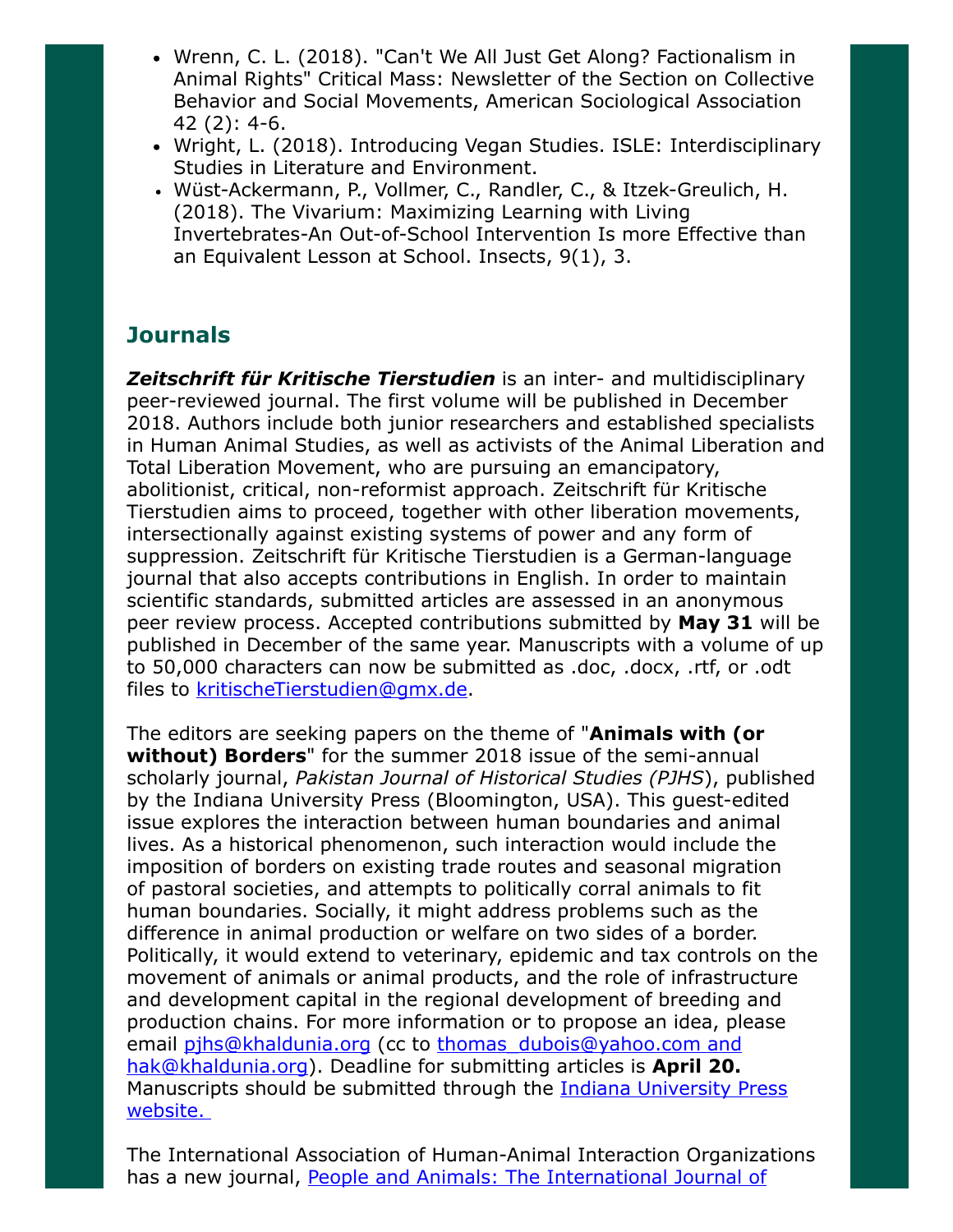- Wrenn, C. L. (2018). "Can't We All Just Get Along? Factionalism in Animal Rights" Critical Mass: Newsletter of the Section on Collective Behavior and Social Movements, American Sociological Association 42 (2): 4-6.
- Wright, L. (2018). Introducing Vegan Studies. ISLE: Interdisciplinary Studies in Literature and Environment.
- Wüst-Ackermann, P., Vollmer, C., Randler, C., & Itzek-Greulich, H. (2018). The Vivarium: Maximizing Learning with Living Invertebrates-An Out-of-School Intervention Is more Effective than an Equivalent Lesson at School. Insects, 9(1), 3.

# **Journals**

**Zeitschrift für Kritische Tierstudien** is an inter- and multidisciplinary peer-reviewed journal. The first volume will be published in December 2018. Authors include both junior researchers and established specialists in Human Animal Studies, as well as activists of the Animal Liberation and Total Liberation Movement, who are pursuing an emancipatory, abolitionist, critical, non-reformist approach. Zeitschrift für Kritische Tierstudien aims to proceed, together with other liberation movements, intersectionally against existing systems of power and any form of suppression. Zeitschrift für Kritische Tierstudien is a German-language journal that also accepts contributions in English. In order to maintain scientific standards, submitted articles are assessed in an anonymous peer review process. Accepted contributions submitted by May 31 will be published in December of the same year. Manuscripts with a volume of up to 50,000 characters can now be submitted as .doc, .docx, .rtf, or .odt files to [kritischeTierstudien@gmx.de](mailto:kritischeTierstudien@gmx.de).

The editors are seeking papers on the theme of "**Animals with (or** without) Borders" for the summer 2018 issue of the semi-annual scholarly journal, Pakistan Journal of Historical Studies (PJHS), published by the Indiana University Press (Bloomington, USA). This guest-edited issue explores the interaction between human boundaries and animal lives. As a historical phenomenon, such interaction would include the imposition of borders on existing trade routes and seasonal migration of pastoral societies, and attempts to politically corral animals to fit human boundaries. Socially, it might address problems such as the difference in animal production or welfare on two sides of a border. Politically, it would extend to veterinary, epidemic and tax controls on the movement of animals or animal products, and the role of infrastructure and development capital in the regional development of breeding and production chains. For more information or to propose an idea, please email [pjhs@khaldunia.org](mailto:pjhs@khaldunia.org) (cc to thomas dubois@yahoo.com and [hak@khaldunia.org](mailto:hak@khaldunia.org)). Deadline for submitting articles is April 20. Manuscripts should be submitted through the **Indiana University Press** website.

The International Association of Human-Animal Interaction Organizations [has a new journal, People and Animals: The International Journal of](http://iahaio.org/journal/aim-scope/)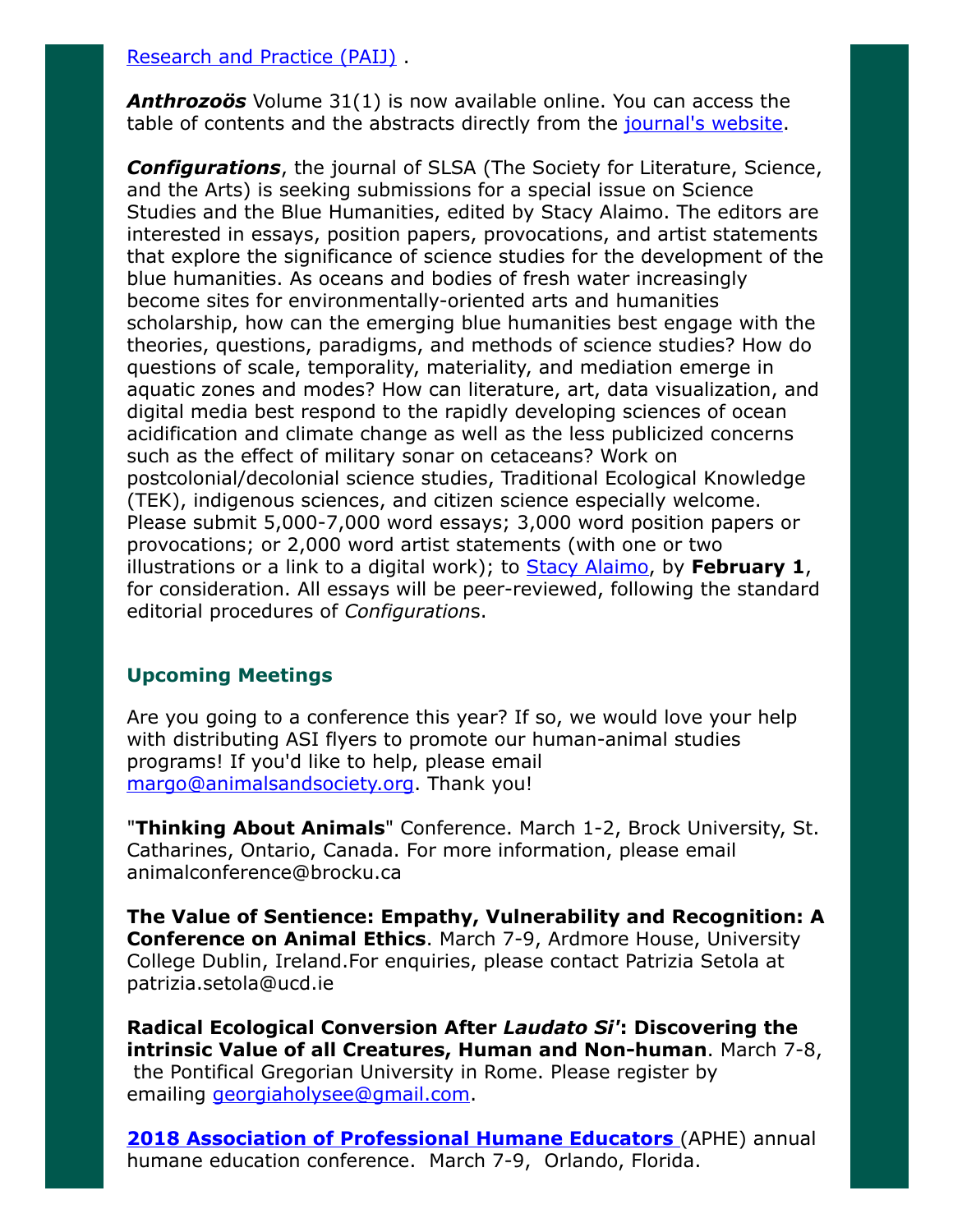#### [Research and Practice \(PAIJ\)](http://iahaio.org/journal/aim-scope/) .

**Anthrozoös** Volume 31(1) is now available online. You can access the table of contents and the abstracts directly from the [journal's website](http://www.tandfonline.com/toc/rfan20/current).

**Configurations**, the journal of SLSA (The Society for Literature, Science, and the Arts) is seeking submissions for a special issue on Science Studies and the Blue Humanities, edited by Stacy Alaimo. The editors are interested in essays, position papers, provocations, and artist statements that explore the significance of science studies for the development of the blue humanities. As oceans and bodies of fresh water increasingly become sites for environmentally-oriented arts and humanities scholarship, how can the emerging blue humanities best engage with the theories, questions, paradigms, and methods of science studies? How do questions of scale, temporality, materiality, and mediation emerge in aquatic zones and modes? How can literature, art, data visualization, and digital media best respond to the rapidly developing sciences of ocean acidification and climate change as well as the less publicized concerns such as the effect of military sonar on cetaceans? Work on postcolonial/decolonial science studies, Traditional Ecological Knowledge (TEK), indigenous sciences, and citizen science especially welcome. Please submit 5,000-7,000 word essays; 3,000 word position papers or provocations; or 2,000 word artist statements (with one or two illustrations or a link to a digital work); to **Stacy Alaimo**, by **February 1**, for consideration. All essays will be peer-reviewed, following the standard editorial procedures of Configurations.

#### Upcoming Meetings

Are you going to a conference this year? If so, we would love your help with distributing ASI flyers to promote our human-animal studies programs! If you'd like to help, please email [margo@animalsandsociety.org](mailto:margo@animalsandsociety.org). Thank you!

"Thinking About Animals" Conference. March 1-2, Brock University, St. Catharines, Ontario, Canada. For more information, please email animalconference@brocku.ca

The Value of Sentience: Empathy, Vulnerability and Recognition: A Conference on Animal Ethics. March 7-9, Ardmore House, University College Dublin, Ireland.For enquiries, please contact Patrizia Setola at patrizia.setola@ucd.ie

Radical Ecological Conversion After Laudato Si': Discovering the intrinsic Value of all Creatures, Human and Non-human. March 7-8, the Pontifical Gregorian University in Rome. Please register by emailing *[georgiaholysee@gmail.com](mailto:georgiaholysee@gmail.com).* 

**2018 Association of Professional Humane Educators** (APHE) annual humane education conference. March 7-9, Orlando, Florida.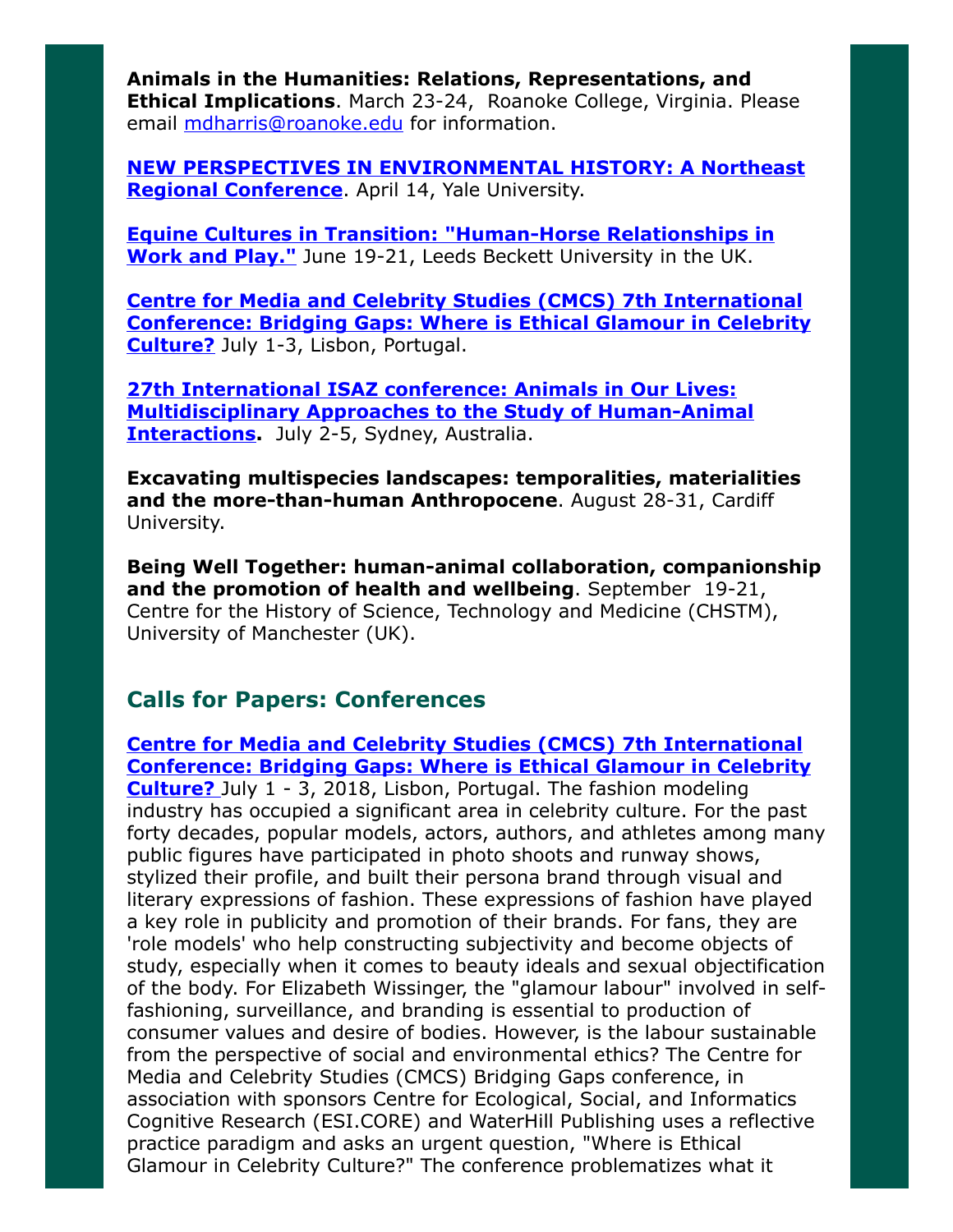Animals in the Humanities: Relations, Representations, and **Ethical Implications.** March 23-24, Roanoke College, Virginia. Please email [mdharris@roanoke.edu](mailto:mdharris@roanoke.edu) for information.

[NEW PERSPECTIVES IN ENVIRONMENTAL HISTORY: A Northeast](http://environmentalhistory.yale.edu/) **Regional Conference**. April 14, Yale University.

[Equine Cultures in Transition: "Human-Horse Relationships in](http://www.leedsbeckett.ac.uk/events/faculty-events/equine-cultures-in-transition/) Work and Play." June 19-21, Leeds Beckett University in the UK.

Centre for Media and Celebrity Studies (CMCS) 7th International [Conference: Bridging Gaps: Where is Ethical Glamour in Celebrity](http://cmc-centre.com/conferences/lisbon2018/) Culture? July 1-3, Lisbon, Portugal.

27th International ISAZ conference: Animals in Our Lives: [Multidisciplinary Approaches to the Study of Human-Animal](http://www.isaz2018.com/) **Interactions.** July 2-5, Sydney, Australia.

Excavating multispecies landscapes: temporalities, materialities and the more-than-human Anthropocene. August 28-31, Cardiff University.

Being Well Together: human-animal collaboration, companionship and the promotion of health and wellbeing. September 19-21, Centre for the History of Science, Technology and Medicine (CHSTM), University of Manchester (UK).

## Calls for Papers: Conferences

Centre for Media and Celebrity Studies (CMCS) 7th International [Conference: Bridging Gaps: Where is Ethical Glamour in Celebrity](http://cmc-centre.com/conferences/lisbon2018/) Culture? July 1 - 3, 2018, Lisbon, Portugal. The fashion modeling industry has occupied a significant area in celebrity culture. For the past forty decades, popular models, actors, authors, and athletes among many public figures have participated in photo shoots and runway shows, stylized their profile, and built their persona brand through visual and literary expressions of fashion. These expressions of fashion have played a key role in publicity and promotion of their brands. For fans, they are 'role models' who help constructing subjectivity and become objects of study, especially when it comes to beauty ideals and sexual objectification of the body. For Elizabeth Wissinger, the "glamour labour" involved in selffashioning, surveillance, and branding is essential to production of consumer values and desire of bodies. However, is the labour sustainable from the perspective of social and environmental ethics? The Centre for Media and Celebrity Studies (CMCS) Bridging Gaps conference, in association with sponsors Centre for Ecological, Social, and Informatics Cognitive Research (ESI.CORE) and WaterHill Publishing uses a reflective practice paradigm and asks an urgent question, "Where is Ethical Glamour in Celebrity Culture?" The conference problematizes what it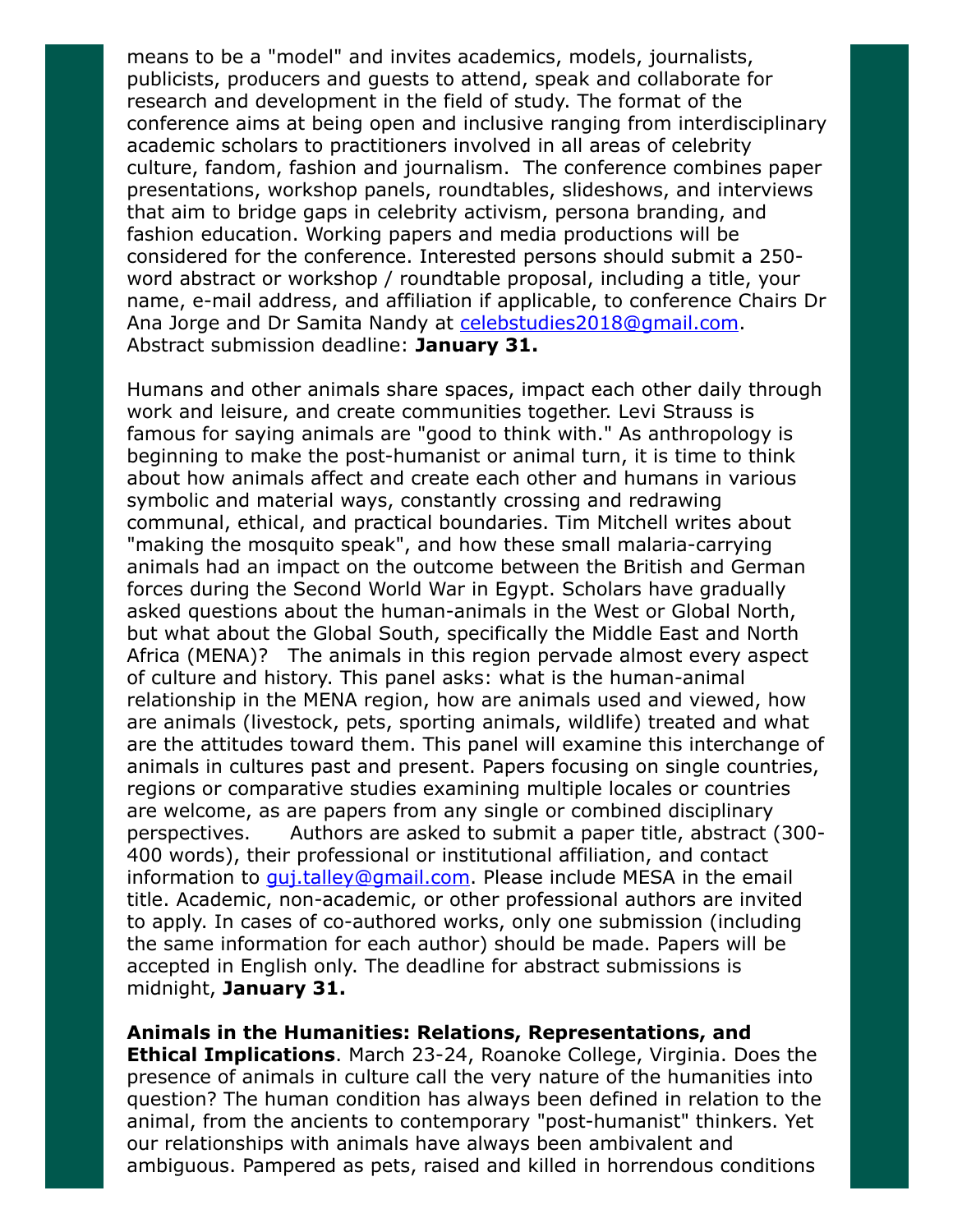means to be a "model" and invites academics, models, journalists, publicists, producers and guests to attend, speak and collaborate for research and development in the field of study. The format of the conference aims at being open and inclusive ranging from interdisciplinary academic scholars to practitioners involved in all areas of celebrity culture, fandom, fashion and journalism. The conference combines paper presentations, workshop panels, roundtables, slideshows, and interviews that aim to bridge gaps in celebrity activism, persona branding, and fashion education. Working papers and media productions will be considered for the conference. Interested persons should submit a 250 word abstract or workshop / roundtable proposal, including a title, your name, e-mail address, and affiliation if applicable, to conference Chairs Dr Ana Jorge and Dr Samita Nandy at [celebstudies2018@gmail.com](mailto:celebstudies2018@gmail.com). Abstract submission deadline: January 31.

Humans and other animals share spaces, impact each other daily through work and leisure, and create communities together. Levi Strauss is famous for saying animals are "good to think with." As anthropology is beginning to make the post-humanist or animal turn, it is time to think about how animals affect and create each other and humans in various symbolic and material ways, constantly crossing and redrawing communal, ethical, and practical boundaries. Tim Mitchell writes about "making the mosquito speak", and how these small malaria-carrying animals had an impact on the outcome between the British and German forces during the Second World War in Egypt. Scholars have gradually asked questions about the human-animals in the West or Global North, but what about the Global South, specifically the Middle East and North Africa (MENA)? The animals in this region pervade almost every aspect of culture and history. This panel asks: what is the human-animal relationship in the MENA region, how are animals used and viewed, how are animals (livestock, pets, sporting animals, wildlife) treated and what are the attitudes toward them. This panel will examine this interchange of animals in cultures past and present. Papers focusing on single countries, regions or comparative studies examining multiple locales or countries are welcome, as are papers from any single or combined disciplinary perspectives. Authors are asked to submit a paper title, abstract (300- 400 words), their professional or institutional affiliation, and contact information to *qui.talley@gmail.com*. Please include MESA in the email title. Academic, non-academic, or other professional authors are invited to apply. In cases of co-authored works, only one submission (including the same information for each author) should be made. Papers will be accepted in English only. The deadline for abstract submissions is midnight, January 31.

Animals in the Humanities: Relations, Representations, and **Ethical Implications.** March 23-24, Roanoke College, Virginia. Does the presence of animals in culture call the very nature of the humanities into question? The human condition has always been defined in relation to the animal, from the ancients to contemporary "post-humanist" thinkers. Yet our relationships with animals have always been ambivalent and ambiguous. Pampered as pets, raised and killed in horrendous conditions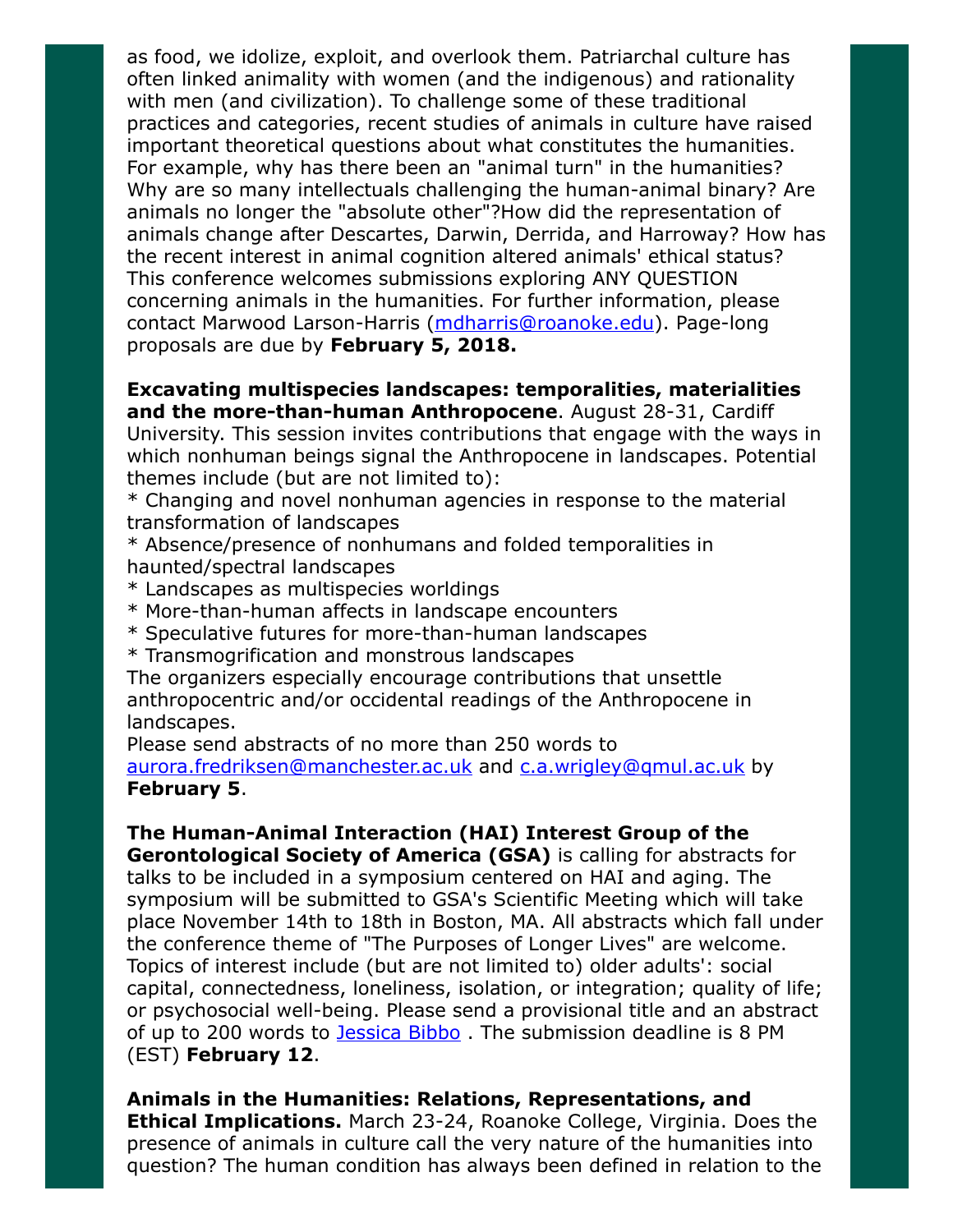as food, we idolize, exploit, and overlook them. Patriarchal culture has often linked animality with women (and the indigenous) and rationality with men (and civilization). To challenge some of these traditional practices and categories, recent studies of animals in culture have raised important theoretical questions about what constitutes the humanities. For example, why has there been an "animal turn" in the humanities? Why are so many intellectuals challenging the human-animal binary? Are animals no longer the "absolute other"?How did the representation of animals change after Descartes, Darwin, Derrida, and Harroway? How has the recent interest in animal cognition altered animals' ethical status? This conference welcomes submissions exploring ANY QUESTION concerning animals in the humanities. For further information, please contact Marwood Larson-Harris (*[mdharris@roanoke.edu](mailto:mdharris@roanoke.edu)*). Page-long proposals are due by February 5, 2018.

#### Excavating multispecies landscapes: temporalities, materialities and the more-than-human Anthropocene. August 28-31, Cardiff University. This session invites contributions that engage with the ways in which nonhuman beings signal the Anthropocene in landscapes. Potential themes include (but are not limited to):

\* Changing and novel nonhuman agencies in response to the material transformation of landscapes

\* Absence/presence of nonhumans and folded temporalities in haunted/spectral landscapes

- \* Landscapes as multispecies worldings
- \* More-than-human affects in landscape encounters
- \* Speculative futures for more-than-human landscapes
- \* Transmogrification and monstrous landscapes

The organizers especially encourage contributions that unsettle anthropocentric and/or occidental readings of the Anthropocene in landscapes.

Please send abstracts of no more than 250 words to

[aurora.fredriksen@manchester.ac.uk](mailto:aurora.fredriksen@manchester.ac.uk) and c.a.wrigley@gmul.ac.uk by February 5.

## The Human-Animal Interaction (HAI) Interest Group of the

Gerontological Society of America (GSA) is calling for abstracts for talks to be included in a symposium centered on HAI and aging. The symposium will be submitted to GSA's Scientific Meeting which will take place November 14th to 18th in Boston, MA. All abstracts which fall under the conference theme of "The Purposes of Longer Lives" are welcome. Topics of interest include (but are not limited to) older adults': social capital, connectedness, loneliness, isolation, or integration; quality of life; or psychosocial well-being. Please send a provisional title and an abstract of up to 200 words to **Jessica Bibbo**. The submission deadline is 8 PM (EST) February 12.

Animals in the Humanities: Relations, Representations, and **Ethical Implications.** March 23-24, Roanoke College, Virginia. Does the presence of animals in culture call the very nature of the humanities into question? The human condition has always been defined in relation to the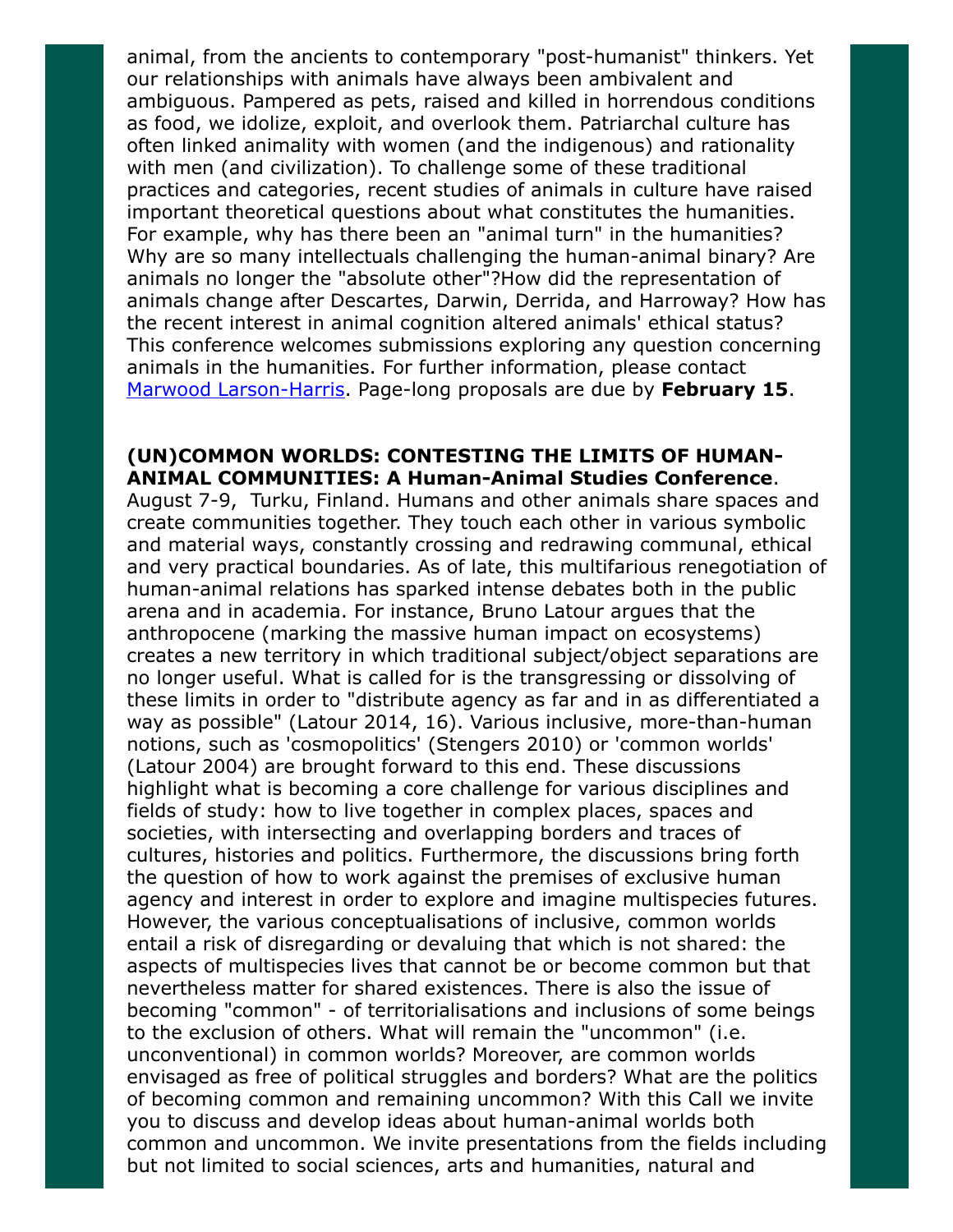animal, from the ancients to contemporary "post-humanist" thinkers. Yet our relationships with animals have always been ambivalent and ambiguous. Pampered as pets, raised and killed in horrendous conditions as food, we idolize, exploit, and overlook them. Patriarchal culture has often linked animality with women (and the indigenous) and rationality with men (and civilization). To challenge some of these traditional practices and categories, recent studies of animals in culture have raised important theoretical questions about what constitutes the humanities. For example, why has there been an "animal turn" in the humanities? Why are so many intellectuals challenging the human-animal binary? Are animals no longer the "absolute other"?How did the representation of animals change after Descartes, Darwin, Derrida, and Harroway? How has the recent interest in animal cognition altered animals' ethical status? This conference welcomes submissions exploring any question concerning animals in the humanities. For further information, please contact [Marwood Larson-Harris.](mailto:mdharris@roanoke.edu) Page-long proposals are due by February 15.

#### (UN)COMMON WORLDS: CONTESTING THE LIMITS OF HUMAN-ANIMAL COMMUNITIES: A Human-Animal Studies Conference.

August 7-9, Turku, Finland. Humans and other animals share spaces and create communities together. They touch each other in various symbolic and material ways, constantly crossing and redrawing communal, ethical and very practical boundaries. As of late, this multifarious renegotiation of human-animal relations has sparked intense debates both in the public arena and in academia. For instance, Bruno Latour argues that the anthropocene (marking the massive human impact on ecosystems) creates a new territory in which traditional subject/object separations are no longer useful. What is called for is the transgressing or dissolving of these limits in order to "distribute agency as far and in as differentiated a way as possible" (Latour 2014, 16). Various inclusive, more-than-human notions, such as 'cosmopolitics' (Stengers 2010) or 'common worlds' (Latour 2004) are brought forward to this end. These discussions highlight what is becoming a core challenge for various disciplines and fields of study: how to live together in complex places, spaces and societies, with intersecting and overlapping borders and traces of cultures, histories and politics. Furthermore, the discussions bring forth the question of how to work against the premises of exclusive human agency and interest in order to explore and imagine multispecies futures. However, the various conceptualisations of inclusive, common worlds entail a risk of disregarding or devaluing that which is not shared: the aspects of multispecies lives that cannot be or become common but that nevertheless matter for shared existences. There is also the issue of becoming "common" - of territorialisations and inclusions of some beings to the exclusion of others. What will remain the "uncommon" (i.e. unconventional) in common worlds? Moreover, are common worlds envisaged as free of political struggles and borders? What are the politics of becoming common and remaining uncommon? With this Call we invite you to discuss and develop ideas about human-animal worlds both common and uncommon. We invite presentations from the fields including but not limited to social sciences, arts and humanities, natural and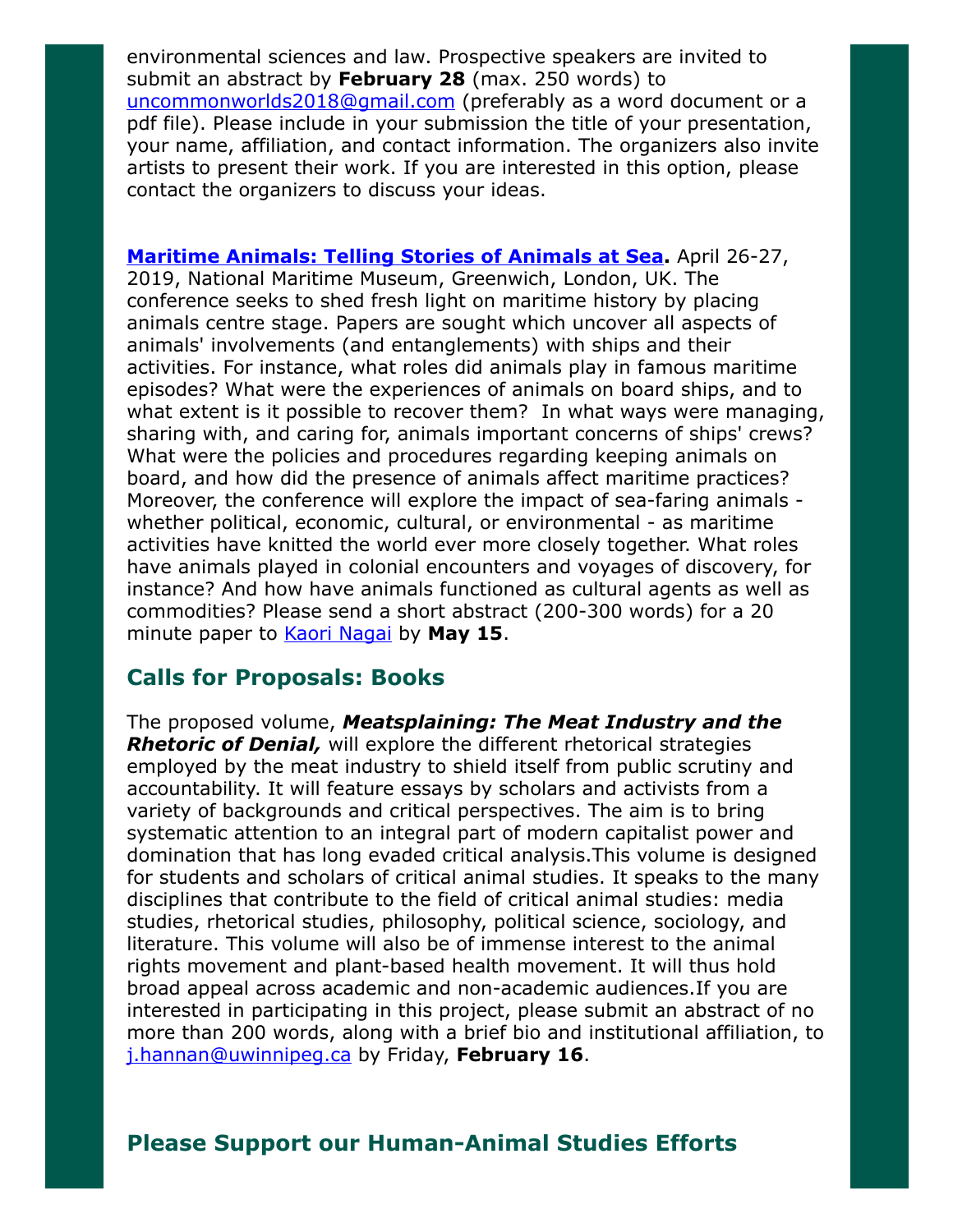environmental sciences and law. Prospective speakers are invited to submit an abstract by February 28 (max. 250 words) to [uncommonworlds2018@gmail.com](mailto:uncommonworlds2018@gmail.com) (preferably as a word document or a pdf file). Please include in your submission the title of your presentation, your name, affiliation, and contact information. The organizers also invite artists to present their work. If you are interested in this option, please contact the organizers to discuss your ideas.

[Maritime Animals: Telling Stories of Animals at Sea](https://research.kent.ac.uk/kentanimalhumanitiesnetwork/maritime-animals-conference/). April 26-27, 2019, National Maritime Museum, Greenwich, London, UK. The conference seeks to shed fresh light on maritime history by placing animals centre stage. Papers are sought which uncover all aspects of animals' involvements (and entanglements) with ships and their activities. For instance, what roles did animals play in famous maritime episodes? What were the experiences of animals on board ships, and to what extent is it possible to recover them? In what ways were managing, sharing with, and caring for, animals important concerns of ships' crews? What were the policies and procedures regarding keeping animals on board, and how did the presence of animals affect maritime practices? Moreover, the conference will explore the impact of sea-faring animals whether political, economic, cultural, or environmental - as maritime activities have knitted the world ever more closely together. What roles have animals played in colonial encounters and voyages of discovery, for instance? And how have animals functioned as cultural agents as well as commodities? Please send a short abstract (200-300 words) for a 20 minute paper to [Kaori Nagai](mailto:K.Nagai@kent.ac.uk) by May 15.

## Calls for Proposals: Books

The proposed volume, Meatsplaining: The Meat Industry and the **Rhetoric of Denial,** will explore the different rhetorical strategies employed by the meat industry to shield itself from public scrutiny and accountability. It will feature essays by scholars and activists from a variety of backgrounds and critical perspectives. The aim is to bring systematic attention to an integral part of modern capitalist power and domination that has long evaded critical analysis.This volume is designed for students and scholars of critical animal studies. It speaks to the many disciplines that contribute to the field of critical animal studies: media studies, rhetorical studies, philosophy, political science, sociology, and literature. This volume will also be of immense interest to the animal rights movement and plant-based health movement. It will thus hold broad appeal across academic and non-academic audiences.If you are interested in participating in this project, please submit an abstract of no more than 200 words, along with a brief bio and institutional affiliation, to [j.hannan@uwinnipeg.ca](mailto:j.hannan@uwinnipeg.ca) by Friday, February 16.

## Please Support our Human-Animal Studies Efforts